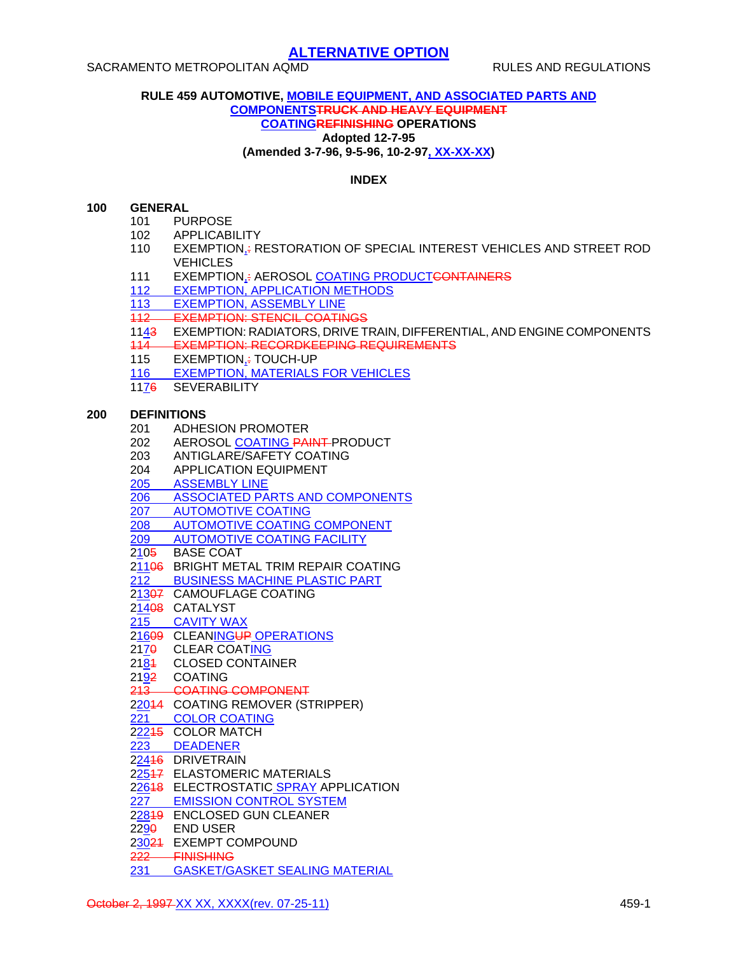#### **RULE 459 AUTOMOTIVE, MOBILE EQUIPMENT, AND ASSOCIATED PARTS AND COMPONENTSTRUCK AND HEAVY EQUIPMENT COATINGREFINISHING OPERATIONS Adopted 12-7-95 (Amended 3-7-96, 9-5-96, 10-2-97, XX-XX-XX)**

### **INDEX**

#### **100 GENERAL**

- 101 PURPOSE
- 102 APPLICABILITY
- 110 EXEMPTION,: RESTORATION OF SPECIAL INTEREST VEHICLES AND STREET ROD VEHICLES
- 111 EXEMPTION,: AEROSOL COATING PRODUCTCONTAINERS
- 112 EXEMPTION, APPLICATION METHODS
- 113 EXEMPTION, ASSEMBLY LINE
- 112 EXEMPTION: STENCIL COATINGS
- 1143 EXEMPTION: RADIATORS, DRIVE TRAIN, DIFFERENTIAL, AND ENGINE COMPONENTS
- 114 EXEMPTION: RECORDKEEPING REQUIREMENTS
- 115 EXEMPTION, + TOUCH-UP
- 116 EXEMPTION, MATERIALS FOR VEHICLES
- 1176 SEVERABILITY

#### **200 DEFINITIONS**

- 201 ADHESION PROMOTER
- 202 AEROSOL COATING PAINT PRODUCT
- 203 ANTIGLARE/SAFETY COATING
- 204 APPLICATION EQUIPMENT
- 205 ASSEMBLY LINE
- 206 ASSOCIATED PARTS AND COMPONENTS
- 207 AUTOMOTIVE COATING
- 208 AUTOMOTIVE COATING COMPONENT
- 209 AUTOMOTIVE COATING FACILITY
- 2105 BASE COAT
- 21106 BRIGHT METAL TRIM REPAIR COATING
- 212 BUSINESS MACHINE PLASTIC PART
- 21307 CAMOUFLAGE COATING
- 21408 CATALYST
- 215 CAVITY WAX
- 21609 CLEANINGUP OPERATIONS
- 217<del>0</del> CLEAR COATING
- 2184 CLOSED CONTAINER
- 2192 COATING
- 213 COATING COMPONENT
- 22044 COATING REMOVER (STRIPPER)
- 221 COLOR COATING
- 2<u>22</u>15 COLOR MATCH
- 223 DEADENER
- 22416 DRIVETRAIN
- 22547 ELASTOMERIC MATERIALS
- 22648 ELECTROSTATIC SPRAY APPLICATION
- 227 EMISSION CONTROL SYSTEM
- 22819 ENCLOSED GUN CLEANER
- 2290 END USER
- 23024 EXEMPT COMPOUND
- 222 FINISHING
- 231 GASKET/GASKET SEALING MATERIAL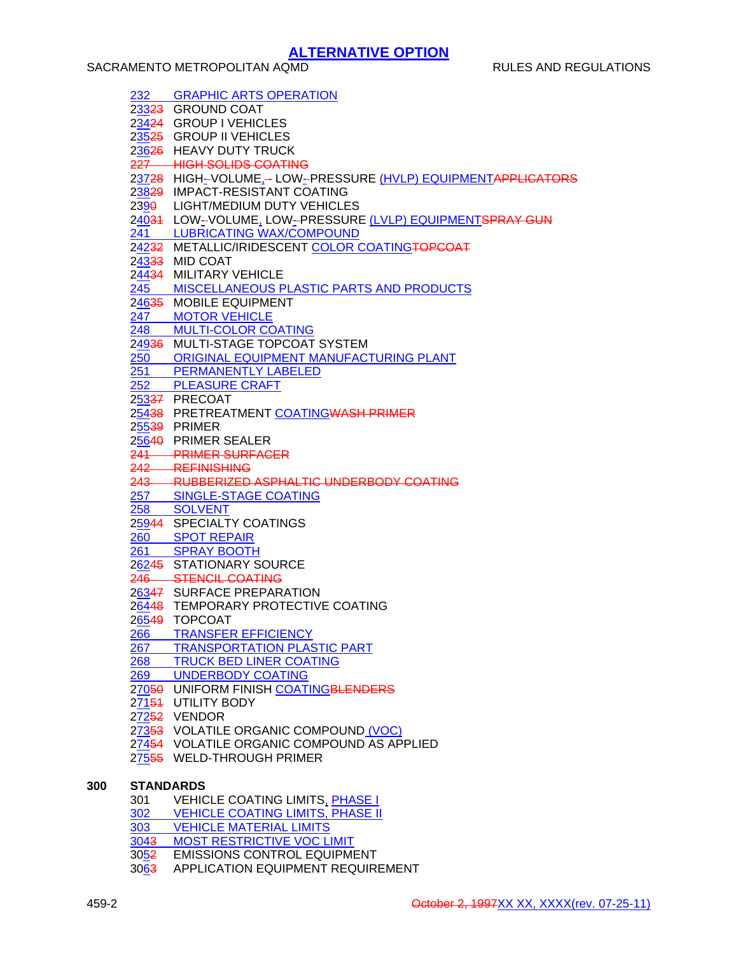|                  | 232 GRAPHIC ARTS OPERATION                                   |
|------------------|--------------------------------------------------------------|
|                  | 23323 GROUND COAT                                            |
|                  | 23424 GROUP I VEHICLES                                       |
|                  | 23525 GROUP II VEHICLES                                      |
|                  | 23626 HEAVY DUTY TRUCK                                       |
|                  | 227 HIGH SOLIDS COATING                                      |
|                  | 23728 HIGH-VOLUME,- LOW-PRESSURE (HVLP) EQUIPMENTAPPLICATORS |
|                  | 23829 IMPACT-RESISTANT COATING                               |
|                  | 2390 LIGHT/MEDIUM DUTY VEHICLES                              |
|                  | 24034 LOW-VOLUME, LOW-PRESSURE (LVLP) EQUIPMENTSPRAY GUN     |
|                  |                                                              |
|                  | 241 LUBRICATING WAX/COMPOUND                                 |
|                  | 24232 METALLIC/IRIDESCENT COLOR COATINGTOPCOAT               |
|                  | 24333 MID COAT                                               |
|                  | 24434 MILITARY VEHICLE                                       |
|                  | 245 MISCELLANEOUS PLASTIC PARTS AND PRODUCTS                 |
|                  | 24635 MOBILE EQUIPMENT                                       |
|                  | 247 MOTOR VEHICLE                                            |
|                  | 248 MULTI-COLOR COATING                                      |
|                  | 24936 MULTI-STAGE TOPCOAT SYSTEM                             |
|                  | 250 ORIGINAL EQUIPMENT MANUFACTURING PLANT                   |
|                  | 251 PERMANENTLY LABELED                                      |
|                  | 252 PLEASURE CRAFT                                           |
|                  | 25337 PRECOAT                                                |
|                  | 25438 PRETREATMENT COATINGWASH PRIMER                        |
|                  | 25539 PRIMER                                                 |
|                  | 25640 PRIMER SEALER                                          |
|                  | 241 PRIMER SURFACER                                          |
|                  | 242 REFINISHING                                              |
|                  | 243 RUBBERIZED ASPHALTIC UNDERBODY COATING                   |
|                  | 257 SINGLE-STAGE COATING                                     |
|                  | 258 SOLVENT                                                  |
|                  | 25944 SPECIALTY COATINGS                                     |
|                  | 260 SPOT REPAIR                                              |
|                  |                                                              |
|                  | 26245 STATIONARY SOURCE                                      |
|                  | 246 STENCIL COATING                                          |
|                  | 26347 SURFACE PREPARATION                                    |
|                  | 26448 TEMPORARY PROTECTIVE COATING                           |
|                  | 26549 TOPCOAT                                                |
| 266              | <b>TRANSFER EFFICIENCY</b>                                   |
| 267              | <b>TRANSPORTATION PLASTIC PART</b>                           |
| 268              | <b>TRUCK BED LINER COATING</b>                               |
| 269              | <b>UNDERBODY COATING</b>                                     |
|                  | 27050 UNIFORM FINISH COATINGBLENDERS                         |
|                  | 27154 UTILITY BODY                                           |
|                  | 27252 VENDOR                                                 |
|                  | 27353 VOLATILE ORGANIC COMPOUND (VOC)                        |
|                  | 27454 VOLATILE ORGANIC COMPOUND AS APPLIED                   |
|                  | 27555 WELD-THROUGH PRIMER                                    |
|                  |                                                              |
| <b>STANDARDS</b> |                                                              |
| 301              | <b>VEHICLE COATING LIMITS, PHASE I</b>                       |
|                  | 302 VEHICLE COATING LIMITS, PHASE II                         |
| 303              | <b>VEHICLE MATERIAL LIMITS</b>                               |
| 3043             | <b>MOST RESTRICTIVE VOC LIMIT</b>                            |
|                  |                                                              |

**300**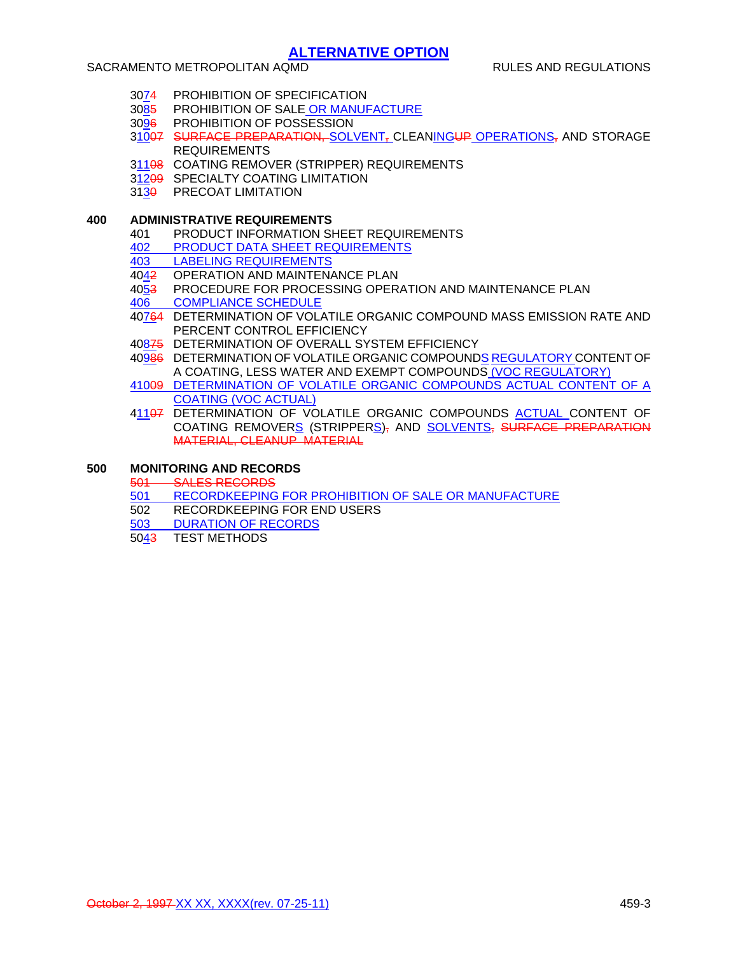### SACRAMENTO METROPOLITAN AQMD **RULES AND REGULATIONS**

- 3074 PROHIBITION OF SPECIFICATION
- 3085 PROHIBITION OF SALE OR MANUFACTURE
- 3096 PROHIBITION OF POSSESSION
- 31007 SURFACE PREPARATION, SOLVENT, CLEANINGUP OPERATIONS, AND STORAGE REQUIREMENTS
- 31108 COATING REMOVER (STRIPPER) REQUIREMENTS
- 31209 SPECIALTY COATING LIMITATION
- 313<del>0</del> PRECOAT LIMITATION

### **400 ADMINISTRATIVE REQUIREMENTS**

- 401 PRODUCT INFORMATION SHEET REQUIREMENTS
- 402 PRODUCT DATA SHEET REQUIREMENTS
- 403 LABELING REQUIREMENTS
- 4042 OPERATION AND MAINTENANCE PLAN
- 4053 PROCEDURE FOR PROCESSING OPERATION AND MAINTENANCE PLAN
- 406 COMPLIANCE SCHEDULE
- 40764 DETERMINATION OF VOLATILE ORGANIC COMPOUND MASS EMISSION RATE AND PERCENT CONTROL EFFICIENCY
- 40875 DETERMINATION OF OVERALL SYSTEM EFFICIENCY
- 40986 DETERMINATION OF VOLATILE ORGANIC COMPOUNDS REGULATORY CONTENT OF A COATING, LESS WATER AND EXEMPT COMPOUNDS (VOC REGULATORY)
- 41009 DETERMINATION OF VOLATILE ORGANIC COMPOUNDS ACTUAL CONTENT OF A COATING (VOC ACTUAL)
- 41107 DETERMINATION OF VOLATILE ORGANIC COMPOUNDS ACTUAL CONTENT OF COATING REMOVERS (STRIPPERS), AND SOLVENTS, SURFACE PREPARATION MATERIAL, CLEANUP MATERIAL

### **500 MONITORING AND RECORDS**

501 SALES RECORDS<br>501 RECORDKEEPING

- 501 RECORDKEEPING FOR PROHIBITION OF SALE OR MANUFACTURE<br>502 RECORDKEEPING FOR END USERS
- RECORDKEEPING FOR END USERS
- 503 DURATION OF RECORDS
- 5043 TEST METHODS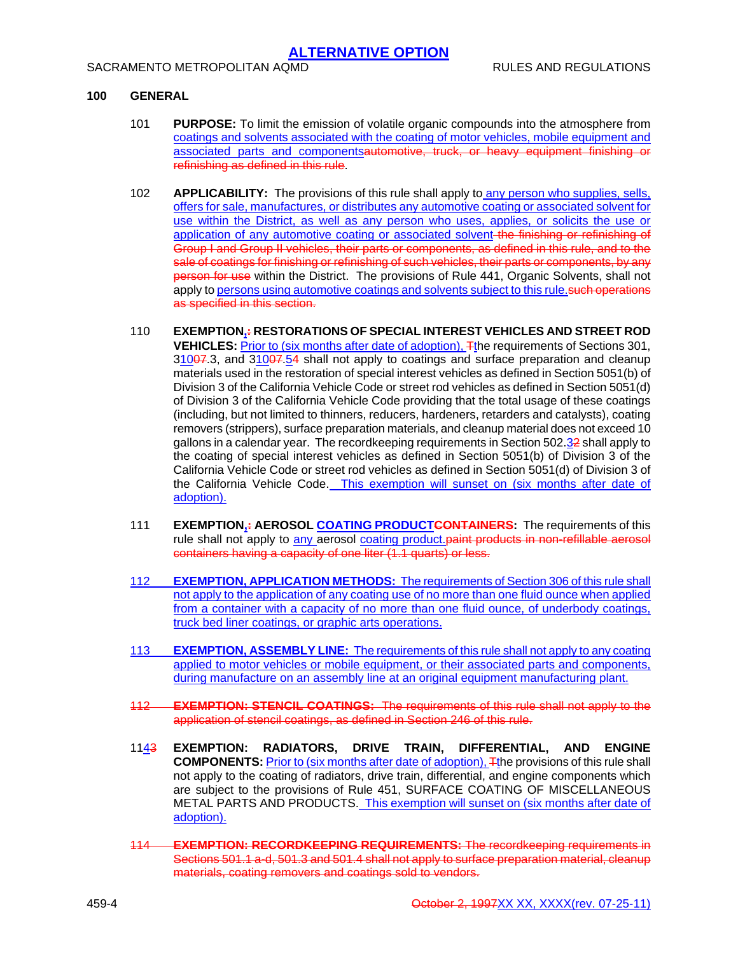### **100 GENERAL**

- 101 **PURPOSE:** To limit the emission of volatile organic compounds into the atmosphere from coatings and solvents associated with the coating of motor vehicles, mobile equipment and associated parts and componentsautomotive, truck, or heavy equipment finishing or refinishing as defined in this rule.
- 102 **APPLICABILITY:** The provisions of this rule shall apply to any person who supplies, sells, offers for sale, manufactures, or distributes any automotive coating or associated solvent for use within the District, as well as any person who uses, applies, or solicits the use or application of any automotive coating or associated solvent the finishing or refinishing of Group I and Group II vehicles, their parts or components, as defined in this rule, and to the sale of coatings for finishing or refinishing of such vehicles, their parts or components, by any person for use within the District. The provisions of Rule 441, Organic Solvents, shall not apply to persons using automotive coatings and solvents subject to this rule. Such operations as specified in this section.
- 110 **EXEMPTION,: RESTORATIONS OF SPECIAL INTEREST VEHICLES AND STREET ROD VEHICLES:** Prior to (six months after date of adoption), Tthe requirements of Sections 301, 31007.3, and 31007.54 shall not apply to coatings and surface preparation and cleanup materials used in the restoration of special interest vehicles as defined in Section 5051(b) of Division 3 of the California Vehicle Code or street rod vehicles as defined in Section 5051(d) of Division 3 of the California Vehicle Code providing that the total usage of these coatings (including, but not limited to thinners, reducers, hardeners, retarders and catalysts), coating removers (strippers), surface preparation materials, and cleanup material does not exceed 10 gallons in a calendar year. The recordkeeping requirements in Section 502.32 shall apply to the coating of special interest vehicles as defined in Section 5051(b) of Division 3 of the California Vehicle Code or street rod vehicles as defined in Section 5051(d) of Division 3 of the California Vehicle Code. This exemption will sunset on (six months after date of adoption).
- 111 **EXEMPTION,: AEROSOL COATING PRODUCTCONTAINERS:** The requirements of this rule shall not apply to any aerosol coating product. paint products in non-refillable aerosol containers having a capacity of one liter (1.1 quarts) or less.
- 112 **EXEMPTION, APPLICATION METHODS:** The requirements of Section 306 of this rule shall not apply to the application of any coating use of no more than one fluid ounce when applied from a container with a capacity of no more than one fluid ounce, of underbody coatings, truck bed liner coatings, or graphic arts operations.
- 113 **EXEMPTION, ASSEMBLY LINE:** The requirements of this rule shall not apply to any coating applied to motor vehicles or mobile equipment, or their associated parts and components, during manufacture on an assembly line at an original equipment manufacturing plant.
- 112 **EXEMPTION: STENCIL COATINGS:** The requirements of this rule shall not apply to the application of stencil coatings, as defined in Section 246 of this rule.
- 1143 **EXEMPTION: RADIATORS, DRIVE TRAIN, DIFFERENTIAL, AND ENGINE COMPONENTS:** Prior to (six months after date of adoption), Tthe provisions of this rule shall not apply to the coating of radiators, drive train, differential, and engine components which are subject to the provisions of Rule 451, SURFACE COATING OF MISCELLANEOUS METAL PARTS AND PRODUCTS. This exemption will sunset on (six months after date of adoption).
- 114 **EXEMPTION: RECORDKEEPING REQUIREMENTS:** The recordkeeping requirements in Sections 501.1 a-d, 501.3 and 501.4 shall not apply to surface preparation material, cleanup materials, coating removers and coatings sold to vendors.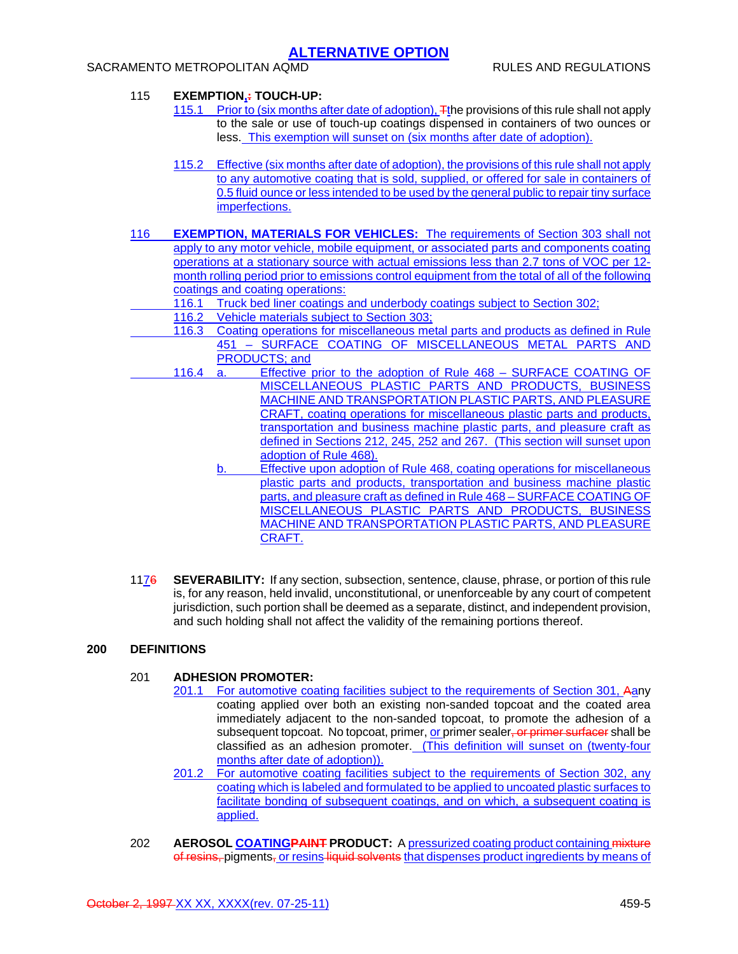## SACRAMENTO METROPOLITAN AQMD **RULES AND REGULATIONS**

## 115 **EXEMPTION,: TOUCH-UP:**

- 115.1 Prior to (six months after date of adoption), The provisions of this rule shall not apply to the sale or use of touch-up coatings dispensed in containers of two ounces or less. This exemption will sunset on (six months after date of adoption).
- 115.2 Effective (six months after date of adoption), the provisions of this rule shall not apply to any automotive coating that is sold, supplied, or offered for sale in containers of 0.5 fluid ounce or less intended to be used by the general public to repair tiny surface imperfections.
- 116 **EXEMPTION, MATERIALS FOR VEHICLES:** The requirements of Section 303 shall not apply to any motor vehicle, mobile equipment, or associated parts and components coating operations at a stationary source with actual emissions less than 2.7 tons of VOC per 12 month rolling period prior to emissions control equipment from the total of all of the following coatings and coating operations:
	- 116.1 Truck bed liner coatings and underbody coatings subject to Section 302;
	- 116.2 Vehicle materials subject to Section 303;
	- 116.3 Coating operations for miscellaneous metal parts and products as defined in Rule 451 – SURFACE COATING OF MISCELLANEOUS METAL PARTS AND PRODUCTS; and
	- 116.4 a. Effective prior to the adoption of Rule 468 SURFACE COATING OF MISCELLANEOUS PLASTIC PARTS AND PRODUCTS, BUSINESS MACHINE AND TRANSPORTATION PLASTIC PARTS, AND PLEASURE CRAFT, coating operations for miscellaneous plastic parts and products, transportation and business machine plastic parts, and pleasure craft as defined in Sections 212, 245, 252 and 267. (This section will sunset upon adoption of Rule 468).
		- b. Effective upon adoption of Rule 468, coating operations for miscellaneous plastic parts and products, transportation and business machine plastic parts, and pleasure craft as defined in Rule 468 – SURFACE COATING OF MISCELLANEOUS PLASTIC PARTS AND PRODUCTS, BUSINESS MACHINE AND TRANSPORTATION PLASTIC PARTS, AND PLEASURE CRAFT.
- 1176 **SEVERABILITY:** If any section, subsection, sentence, clause, phrase, or portion of this rule is, for any reason, held invalid, unconstitutional, or unenforceable by any court of competent jurisdiction, such portion shall be deemed as a separate, distinct, and independent provision, and such holding shall not affect the validity of the remaining portions thereof.

### **200 DEFINITIONS**

### 201 **ADHESION PROMOTER:**

- 201.1 For automotive coating facilities subject to the requirements of Section 301, Aany coating applied over both an existing non-sanded topcoat and the coated area immediately adjacent to the non-sanded topcoat, to promote the adhesion of a subsequent topcoat. No topcoat, primer, or primer sealer, or primer surfacer shall be classified as an adhesion promoter. (This definition will sunset on (twenty-four months after date of adoption)).
- 201.2 For automotive coating facilities subject to the requirements of Section 302, any coating which is labeled and formulated to be applied to uncoated plastic surfaces to facilitate bonding of subsequent coatings, and on which, a subsequent coating is applied.
- 202 **AEROSOL COATINGPAINT PRODUCT:** A pressurized coating product containing mixture of resins, pigments, or resins liquid solvents that dispenses product ingredients by means of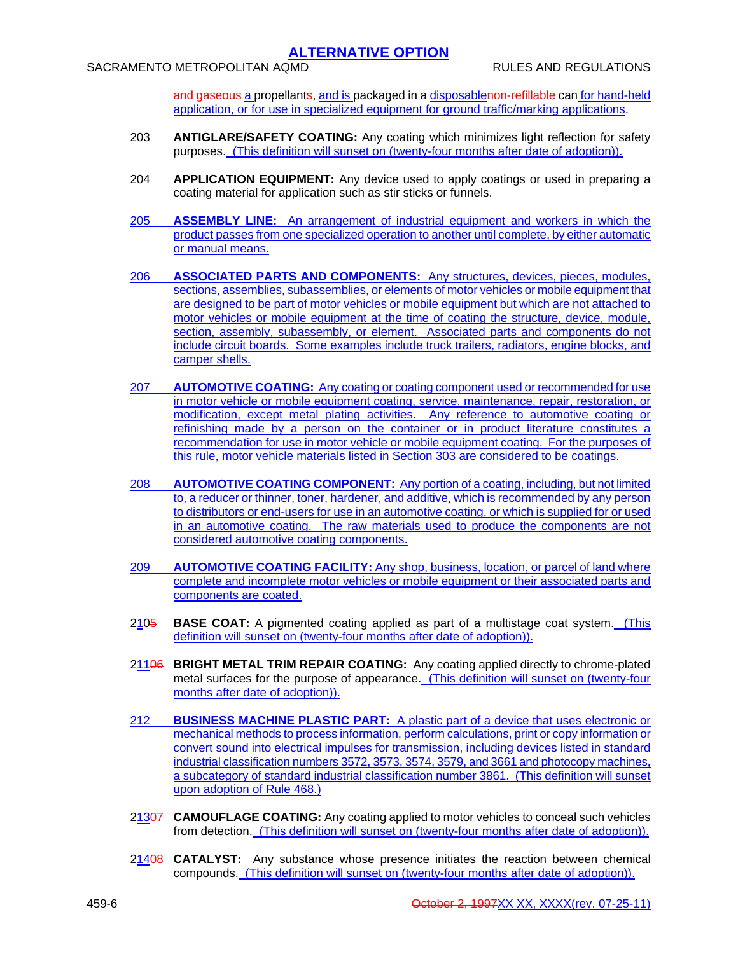and gaseous a propellants, and is packaged in a disposablenon-refillable can for hand-held application, or for use in specialized equipment for ground traffic/marking applications.

- 203 **ANTIGLARE/SAFETY COATING:** Any coating which minimizes light reflection for safety purposes. (This definition will sunset on (twenty-four months after date of adoption)).
- 204 **APPLICATION EQUIPMENT:** Any device used to apply coatings or used in preparing a coating material for application such as stir sticks or funnels.
- 205 **ASSEMBLY LINE:** An arrangement of industrial equipment and workers in which the product passes from one specialized operation to another until complete, by either automatic or manual means.
- 206 **ASSOCIATED PARTS AND COMPONENTS:** Any structures, devices, pieces, modules, sections, assemblies, subassemblies, or elements of motor vehicles or mobile equipment that are designed to be part of motor vehicles or mobile equipment but which are not attached to motor vehicles or mobile equipment at the time of coating the structure, device, module, section, assembly, subassembly, or element. Associated parts and components do not include circuit boards. Some examples include truck trailers, radiators, engine blocks, and camper shells.
- 207 **AUTOMOTIVE COATING:** Any coating or coating component used or recommended for use in motor vehicle or mobile equipment coating, service, maintenance, repair, restoration, or modification, except metal plating activities. Any reference to automotive coating or refinishing made by a person on the container or in product literature constitutes a recommendation for use in motor vehicle or mobile equipment coating. For the purposes of this rule, motor vehicle materials listed in Section 303 are considered to be coatings.
- 208 **AUTOMOTIVE COATING COMPONENT:** Any portion of a coating, including, but not limited to, a reducer or thinner, toner, hardener, and additive, which is recommended by any person to distributors or end-users for use in an automotive coating, or which is supplied for or used in an automotive coating. The raw materials used to produce the components are not considered automotive coating components.
- 209 **AUTOMOTIVE COATING FACILITY:** Any shop, business, location, or parcel of land where complete and incomplete motor vehicles or mobile equipment or their associated parts and components are coated.
- 2105 **BASE COAT:** A pigmented coating applied as part of a multistage coat system. (This definition will sunset on (twenty-four months after date of adoption)).
- 21106 **BRIGHT METAL TRIM REPAIR COATING:** Any coating applied directly to chrome-plated metal surfaces for the purpose of appearance. (This definition will sunset on (twenty-four months after date of adoption)).
- 212 **BUSINESS MACHINE PLASTIC PART:** A plastic part of a device that uses electronic or mechanical methods to process information, perform calculations, print or copy information or convert sound into electrical impulses for transmission, including devices listed in standard industrial classification numbers 3572, 3573, 3574, 3579, and 3661 and photocopy machines, a subcategory of standard industrial classification number 3861. (This definition will sunset upon adoption of Rule 468.)
- 21307 **CAMOUFLAGE COATING:** Any coating applied to motor vehicles to conceal such vehicles from detection. (This definition will sunset on (twenty-four months after date of adoption)).
- 21408 **CATALYST:** Any substance whose presence initiates the reaction between chemical compounds. (This definition will sunset on (twenty-four months after date of adoption)).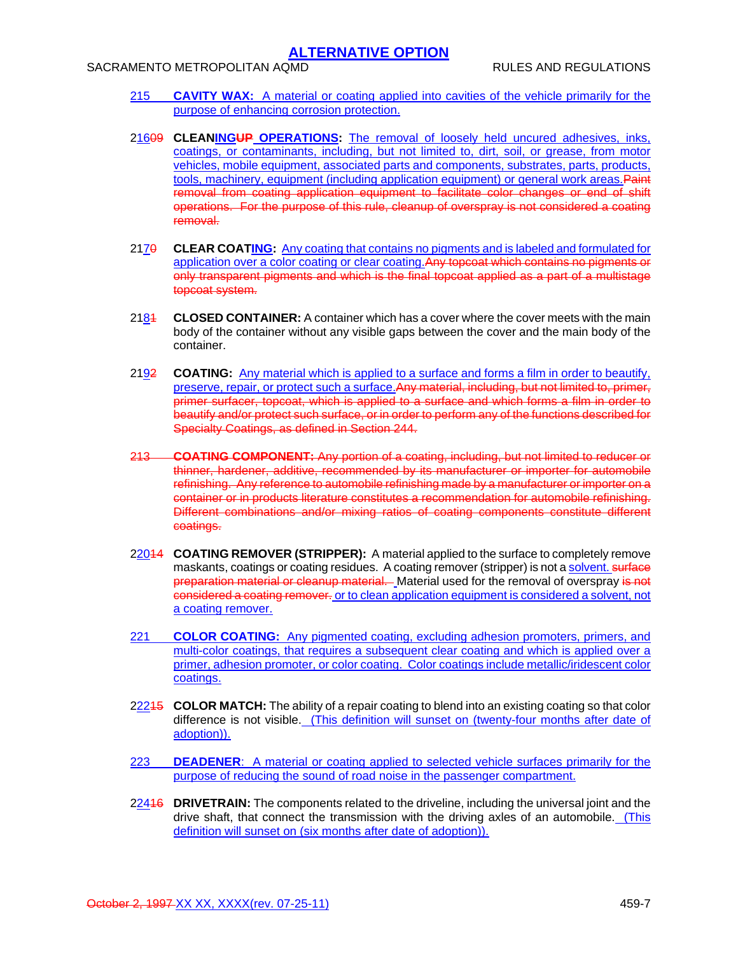### SACRAMENTO METROPOLITAN AQMD **RULES AND REGULATIONS**

- 215 **CAVITY WAX:** A material or coating applied into cavities of the vehicle primarily for the purpose of enhancing corrosion protection.
- 21609 **CLEANINGUP OPERATIONS:** The removal of loosely held uncured adhesives, inks, coatings, or contaminants, including, but not limited to, dirt, soil, or grease, from motor vehicles, mobile equipment, associated parts and components, substrates, parts, products, tools, machinery, equipment (including application equipment) or general work areas.Paint removal from coating application equipment to facilitate color changes or end of shift operations. For the purpose of this rule, cleanup of overspray is not considered a coating removal.
- 2170 **CLEAR COATING:** Any coating that contains no pigments and is labeled and formulated for application over a color coating or clear coating.Any topcoat which contains no pigments or only transparent pigments and which is the final topcoat applied as a part of a multistage topcoat system.
- 2184 **CLOSED CONTAINER:** A container which has a cover where the cover meets with the main body of the container without any visible gaps between the cover and the main body of the container.
- 2192 **COATING:** Any material which is applied to a surface and forms a film in order to beautify, preserve, repair, or protect such a surface. Any material, including, but not limited to, primer, primer surfacer, topcoat, which is applied to a surface and which forms a film in order to beautify and/or protect such surface, or in order to perform any of the functions described for Specialty Coatings, as defined in Section 244.
- 213 **COATING COMPONENT:** Any portion of a coating, including, but not limited to reducer or thinner, hardener, additive, recommended by its manufacturer or importer for automobile refinishing. Any reference to automobile refinishing made by a manufacturer or importer on a container or in products literature constitutes a recommendation for automobile refinishing. Different combinations and/or mixing ratios of coating components constitute different coatings.
- 22014 **COATING REMOVER (STRIPPER):** A material applied to the surface to completely remove maskants, coatings or coating residues. A coating remover (stripper) is not a solvent. surface preparation material or cleanup material. Material used for the removal of overspray is not considered a coating remover. or to clean application equipment is considered a solvent, not a coating remover.
- 221 **COLOR COATING:** Any pigmented coating, excluding adhesion promoters, primers, and multi-color coatings, that requires a subsequent clear coating and which is applied over a primer, adhesion promoter, or color coating. Color coatings include metallic/iridescent color coatings.
- 22215 **COLOR MATCH:** The ability of a repair coating to blend into an existing coating so that color difference is not visible. (This definition will sunset on (twenty-four months after date of adoption)).
- 223 **DEADENER**: A material or coating applied to selected vehicle surfaces primarily for the purpose of reducing the sound of road noise in the passenger compartment.
- 22416 **DRIVETRAIN:** The components related to the driveline, including the universal joint and the drive shaft, that connect the transmission with the driving axles of an automobile. (This definition will sunset on (six months after date of adoption)).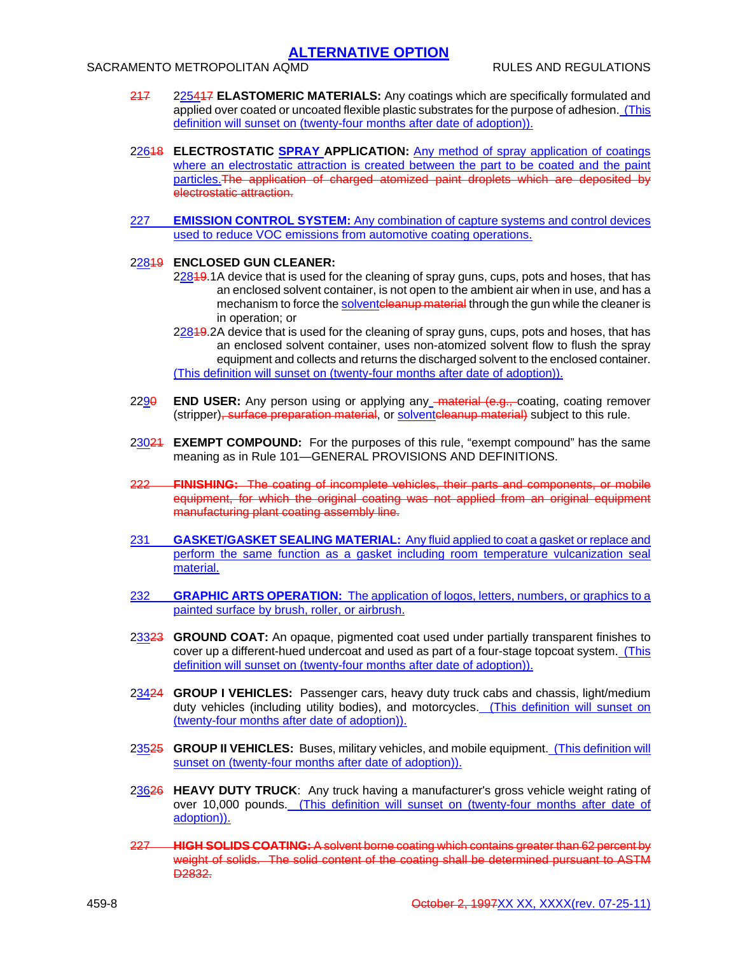## SACRAMENTO METROPOLITAN AQMD **RULES AND REGULATIONS**

- 217 225417 **ELASTOMERIC MATERIALS:** Any coatings which are specifically formulated and applied over coated or uncoated flexible plastic substrates for the purpose of adhesion. (This definition will sunset on (twenty-four months after date of adoption)).
- 22618 **ELECTROSTATIC SPRAY APPLICATION:** Any method of spray application of coatings where an electrostatic attraction is created between the part to be coated and the paint particles.The application of charged atomized paint droplets which are deposited by electrostatic attraction.
- 227 **EMISSION CONTROL SYSTEM:** Any combination of capture systems and control devices used to reduce VOC emissions from automotive coating operations.

### 22819 **ENCLOSED GUN CLEANER:**

- 22849.1 A device that is used for the cleaning of spray guns, cups, pots and hoses, that has an enclosed solvent container, is not open to the ambient air when in use, and has a mechanism to force the solventcleanup material through the gun while the cleaner is in operation; or
- 22849.2A device that is used for the cleaning of spray guns, cups, pots and hoses, that has an enclosed solvent container, uses non-atomized solvent flow to flush the spray equipment and collects and returns the discharged solvent to the enclosed container. (This definition will sunset on (twenty-four months after date of adoption)).
- 2290 **END USER:** Any person using or applying any material (e.g., coating, coating remover (stripper)<del>, surface preparation material</del>, or solventeleanup material) subject to this rule.
- 23021 **EXEMPT COMPOUND:** For the purposes of this rule, "exempt compound" has the same meaning as in Rule 101—GENERAL PROVISIONS AND DEFINITIONS.
- 222 **FINISHING:** The coating of incomplete vehicles, their parts and components, or mobile equipment, for which the original coating was not applied from an original equipment manufacturing plant coating assembly line.
- 231 **GASKET/GASKET SEALING MATERIAL:** Any fluid applied to coat a gasket or replace and perform the same function as a gasket including room temperature vulcanization seal material.
- 232 **GRAPHIC ARTS OPERATION:** The application of logos, letters, numbers, or graphics to a painted surface by brush, roller, or airbrush.
- 23323 **GROUND COAT:** An opaque, pigmented coat used under partially transparent finishes to cover up a different-hued undercoat and used as part of a four-stage topcoat system. (This definition will sunset on (twenty-four months after date of adoption)).
- 23424 **GROUP I VEHICLES:** Passenger cars, heavy duty truck cabs and chassis, light/medium duty vehicles (including utility bodies), and motorcycles. (This definition will sunset on (twenty-four months after date of adoption)).
- 23525 **GROUP II VEHICLES:** Buses, military vehicles, and mobile equipment. (This definition will sunset on (twenty-four months after date of adoption)).
- 23626 **HEAVY DUTY TRUCK**: Any truck having a manufacturer's gross vehicle weight rating of over 10,000 pounds. (This definition will sunset on (twenty-four months after date of adoption)).
- 227 **HIGH SOLIDS COATING:** A solvent borne coating which contains greater than 62 percent by weight of solids. The solid content of the coating shall be determined pursuant to ASTM D<sub>2832</sub>.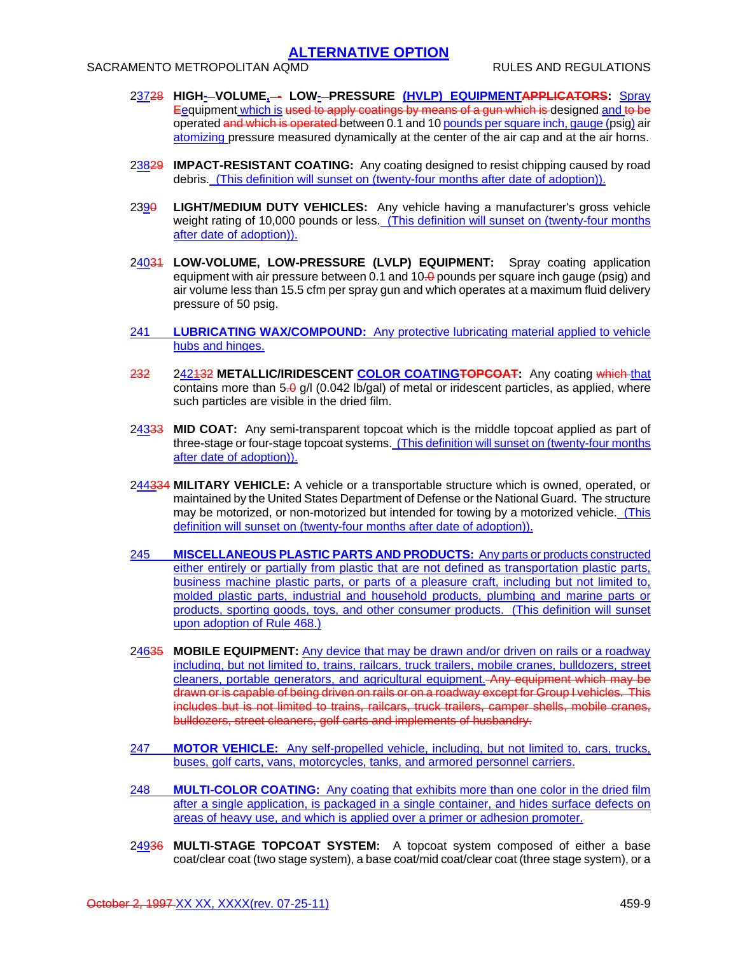SACRAMENTO METROPOLITAN AQMD **RULES AND REGULATIONS** 

- 23728 **HIGH- VOLUME, LOW- PRESSURE (HVLP) EQUIPMENTAPPLICATORS:** Spray Eequipment which is used to apply coatings by means of a gun which is designed and to be operated and which is operated between 0.1 and 10 pounds per square inch, gauge (psig) air atomizing pressure measured dynamically at the center of the air cap and at the air horns.
- 23829 **IMPACT-RESISTANT COATING:** Any coating designed to resist chipping caused by road debris. (This definition will sunset on (twenty-four months after date of adoption)).
- 2390 **LIGHT/MEDIUM DUTY VEHICLES:** Any vehicle having a manufacturer's gross vehicle weight rating of 10,000 pounds or less. (This definition will sunset on (twenty-four months after date of adoption)).
- 24031 **LOW-VOLUME, LOW-PRESSURE (LVLP) EQUIPMENT:** Spray coating application equipment with air pressure between 0.1 and  $10-0$  pounds per square inch gauge (psig) and air volume less than 15.5 cfm per spray gun and which operates at a maximum fluid delivery pressure of 50 psig.
- 241 **LUBRICATING WAX/COMPOUND:** Any protective lubricating material applied to vehicle hubs and hinges.
- 232 242132 **METALLIC/IRIDESCENT COLOR COATINGTOPCOAT:** Any coating which that contains more than  $5.0 \text{ g}/\text{l}$  (0.042 lb/gal) of metal or iridescent particles, as applied, where such particles are visible in the dried film.
- 24333 **MID COAT:** Any semi-transparent topcoat which is the middle topcoat applied as part of three-stage or four-stage topcoat systems. (This definition will sunset on (twenty-four months after date of adoption)).
- 244334 **MILITARY VEHICLE:** A vehicle or a transportable structure which is owned, operated, or maintained by the United States Department of Defense or the National Guard. The structure may be motorized, or non-motorized but intended for towing by a motorized vehicle. (This definition will sunset on (twenty-four months after date of adoption)).
- 245 **MISCELLANEOUS PLASTIC PARTS AND PRODUCTS:** Any parts or products constructed either entirely or partially from plastic that are not defined as transportation plastic parts, business machine plastic parts, or parts of a pleasure craft, including but not limited to, molded plastic parts, industrial and household products, plumbing and marine parts or products, sporting goods, toys, and other consumer products. (This definition will sunset upon adoption of Rule 468.)
- 24635 **MOBILE EQUIPMENT:** Any device that may be drawn and/or driven on rails or a roadway including, but not limited to, trains, railcars, truck trailers, mobile cranes, bulldozers, street cleaners, portable generators, and agricultural equipment. Any equipment which may be drawn or is capable of being driven on rails or on a roadway except for Group I vehicles. This includes but is not limited to trains, railcars, truck trailers, camper shells, mobile cranes, bulldozers, street cleaners, golf carts and implements of husbandry.
- 247 **MOTOR VEHICLE:** Any self-propelled vehicle, including, but not limited to, cars, trucks, buses, golf carts, vans, motorcycles, tanks, and armored personnel carriers.
- 248 **MULTI-COLOR COATING:** Any coating that exhibits more than one color in the dried film after a single application, is packaged in a single container, and hides surface defects on areas of heavy use, and which is applied over a primer or adhesion promoter.
- 24936 **MULTI-STAGE TOPCOAT SYSTEM:** A topcoat system composed of either a base coat/clear coat (two stage system), a base coat/mid coat/clear coat (three stage system), or a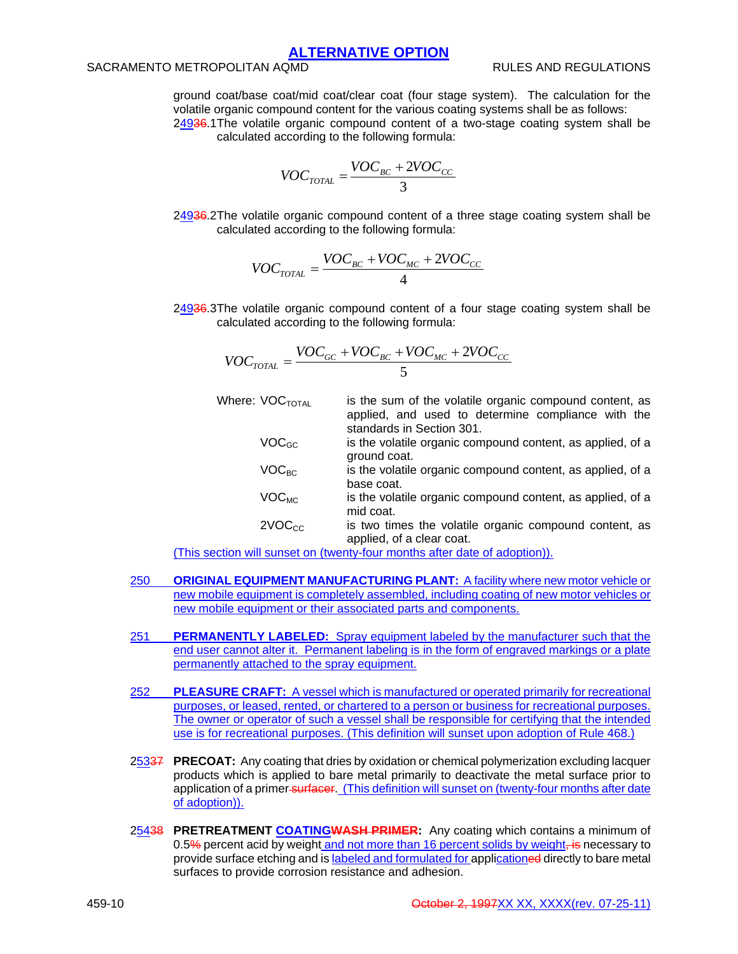## SACRAMENTO METROPOLITAN AQMD **RULES AND REGULATIONS**

ground coat/base coat/mid coat/clear coat (four stage system). The calculation for the volatile organic compound content for the various coating systems shall be as follows: 24936.1 The volatile organic compound content of a two-stage coating system shall be calculated according to the following formula:

 $VOC_{TOTAL} = \frac{VOC_{BC} + 2VOC_{CC}}{2}$ 

24936.2 The volatile organic compound content of a three stage coating system shall be calculated according to the following formula:

3

$$
VOC_{TOTAL} = \frac{VOC_{BC} + VOC_{MC} + 2VOC_{CC}}{4}
$$

24936.3 The volatile organic compound content of a four stage coating system shall be calculated according to the following formula:

$$
VOC_{TOTAL} = \frac{VOC_{GC} + VOC_{BC} + VOC_{MC} + 2VOC_{CC}}{5}
$$

- Where:  $VOC<sub>total</sub>$  is the sum of the volatile organic compound content, as applied, and used to determine compliance with the standards in Section 301.  $VOC<sub>GC</sub>$  is the volatile organic compound content, as applied, of a ground coat.  $VOC<sub>BC</sub>$  is the volatile organic compound content, as applied, of a base coat.
	- $VOC<sub>MC</sub>$  is the volatile organic compound content, as applied, of a mid coat.
	- $2VOC<sub>CC</sub>$  is two times the volatile organic compound content, as applied, of a clear coat.

(This section will sunset on (twenty-four months after date of adoption)).

- 250 **ORIGINAL EQUIPMENT MANUFACTURING PLANT:** A facility where new motor vehicle or new mobile equipment is completely assembled, including coating of new motor vehicles or new mobile equipment or their associated parts and components.
- 251 **PERMANENTLY LABELED:** Spray equipment labeled by the manufacturer such that the end user cannot alter it. Permanent labeling is in the form of engraved markings or a plate permanently attached to the spray equipment.
- 252 **PLEASURE CRAFT:** A vessel which is manufactured or operated primarily for recreational purposes, or leased, rented, or chartered to a person or business for recreational purposes. The owner or operator of such a vessel shall be responsible for certifying that the intended use is for recreational purposes. (This definition will sunset upon adoption of Rule 468.)
- 25337 **PRECOAT:** Any coating that dries by oxidation or chemical polymerization excluding lacquer products which is applied to bare metal primarily to deactivate the metal surface prior to application of a primer surfacer. (This definition will sunset on (twenty-four months after date of adoption)).
- 25438 **PRETREATMENT COATINGWASH PRIMER:** Any coating which contains a minimum of 0.5% percent acid by weight and not more than 16 percent solids by weight, is necessary to provide surface etching and is labeled and formulated for applicationed directly to bare metal surfaces to provide corrosion resistance and adhesion.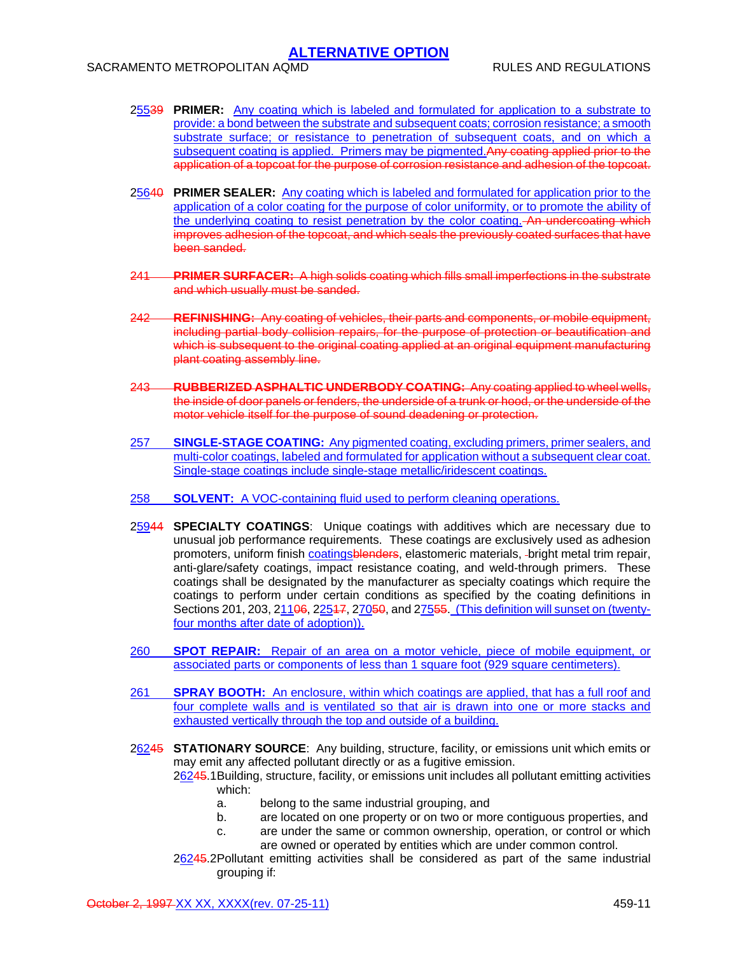SACRAMENTO METROPOLITAN AQMD RULES AND REGULATIONS

- 25539 **PRIMER:** Any coating which is labeled and formulated for application to a substrate to provide: a bond between the substrate and subsequent coats; corrosion resistance; a smooth substrate surface; or resistance to penetration of subsequent coats, and on which a subsequent coating is applied. Primers may be pigmented.Any coating applied prior to the application of a topcoat for the purpose of corrosion resistance and adhesion of the topcoat.
- 25640 **PRIMER SEALER:** Any coating which is labeled and formulated for application prior to the application of a color coating for the purpose of color uniformity, or to promote the ability of the underlying coating to resist penetration by the color coating. An undercoating which improves adhesion of the topcoat, and which seals the previously coated surfaces that have been sanded.
- 241 **PRIMER SURFACER:** A high solids coating which fills small imperfections in the substrate and which usually must be sanded.
- 242 **REFINISHING:** Any coating of vehicles, their parts and components, or mobile equipment, including partial body collision repairs, for the purpose of protection or beautification and which is subsequent to the original coating applied at an original equipment manufacturing plant coating assembly line.
- 243 **RUBBERIZED ASPHALTIC UNDERBODY COATING:** Any coating applied to wheel wells, the inside of door panels or fenders, the underside of a trunk or hood, or the underside of the motor vehicle itself for the purpose of sound deadening or protection.
- 257 **SINGLE-STAGE COATING:** Any pigmented coating, excluding primers, primer sealers, and multi-color coatings, labeled and formulated for application without a subsequent clear coat. Single-stage coatings include single-stage metallic/iridescent coatings.
- 258 **SOLVENT:** A VOC-containing fluid used to perform cleaning operations.
- 25944 **SPECIALTY COATINGS**: Unique coatings with additives which are necessary due to unusual job performance requirements. These coatings are exclusively used as adhesion promoters, uniform finish coatingsblenders, elastomeric materials, -bright metal trim repair, anti-glare/safety coatings, impact resistance coating, and weld-through primers. These coatings shall be designated by the manufacturer as specialty coatings which require the coatings to perform under certain conditions as specified by the coating definitions in Sections 201, 203, 21106, 22547, 27050, and 27555. (This definition will sunset on (twentyfour months after date of adoption)).
- 260 **SPOT REPAIR:** Repair of an area on a motor vehicle, piece of mobile equipment, or associated parts or components of less than 1 square foot (929 square centimeters).
- 261 **SPRAY BOOTH:** An enclosure, within which coatings are applied, that has a full roof and four complete walls and is ventilated so that air is drawn into one or more stacks and exhausted vertically through the top and outside of a building.
- 26245 **STATIONARY SOURCE**: Any building, structure, facility, or emissions unit which emits or may emit any affected pollutant directly or as a fugitive emission.

26245.1 Building, structure, facility, or emissions unit includes all pollutant emitting activities which:

- a. belong to the same industrial grouping, and
- b. are located on one property or on two or more contiguous properties, and
- c. are under the same or common ownership, operation, or control or which are owned or operated by entities which are under common control.
- 26245.2 Pollutant emitting activities shall be considered as part of the same industrial grouping if: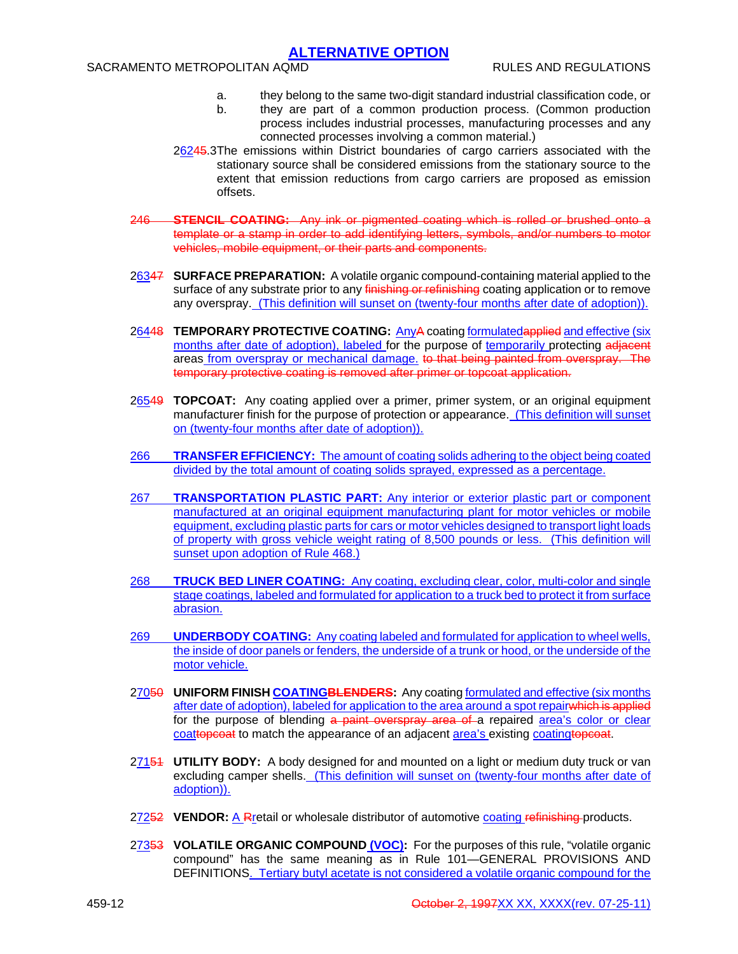- a. they belong to the same two-digit standard industrial classification code, or
- b. they are part of a common production process. (Common production process includes industrial processes, manufacturing processes and any connected processes involving a common material.)
- 26245.3 The emissions within District boundaries of cargo carriers associated with the stationary source shall be considered emissions from the stationary source to the extent that emission reductions from cargo carriers are proposed as emission offsets.
- 246 **STENCIL COATING:** Any ink or pigmented coating which is rolled or brushed onto a template or a stamp in order to add identifying letters, symbols, and/or numbers to motor vehicles, mobile equipment, or their parts and components.
- 26347 **SURFACE PREPARATION:** A volatile organic compound-containing material applied to the surface of any substrate prior to any finishing or refinishing coating application or to remove any overspray. (This definition will sunset on (twenty-four months after date of adoption)).
- 26448 **TEMPORARY PROTECTIVE COATING:** AnyA coating formulatedapplied and effective (six months after date of adoption), labeled for the purpose of temporarily protecting adjacent areas from overspray or mechanical damage. to that being painted from overspray. The temporary protective coating is removed after primer or topcoat application.
- 26549 **TOPCOAT:** Any coating applied over a primer, primer system, or an original equipment manufacturer finish for the purpose of protection or appearance. (This definition will sunset on (twenty-four months after date of adoption)).
- 266 **TRANSFER EFFICIENCY:** The amount of coating solids adhering to the object being coated divided by the total amount of coating solids sprayed, expressed as a percentage.
- 267 **TRANSPORTATION PLASTIC PART:** Any interior or exterior plastic part or component manufactured at an original equipment manufacturing plant for motor vehicles or mobile equipment, excluding plastic parts for cars or motor vehicles designed to transport light loads of property with gross vehicle weight rating of 8,500 pounds or less. (This definition will sunset upon adoption of Rule 468.)
- 268 **TRUCK BED LINER COATING:** Any coating, excluding clear, color, multi-color and single stage coatings, labeled and formulated for application to a truck bed to protect it from surface abrasion.
- 269 **UNDERBODY COATING:** Any coating labeled and formulated for application to wheel wells, the inside of door panels or fenders, the underside of a trunk or hood, or the underside of the motor vehicle.
- 27050 **UNIFORM FINISH COATINGBLENDERS:** Any coating formulated and effective (six months after date of adoption), labeled for application to the area around a spot repairwhich is applied for the purpose of blending a paint overspray area of a repaired area's color or clear coattopcoat to match the appearance of an adjacent area's existing coatingtopcoat.
- 27151 **UTILITY BODY:** A body designed for and mounted on a light or medium duty truck or van excluding camper shells. (This definition will sunset on (twenty-four months after date of adoption)).
- 27252 **VENDOR:** A Rretail or wholesale distributor of automotive coating refinishing products.
- 27353 **VOLATILE ORGANIC COMPOUND (VOC):** For the purposes of this rule, "volatile organic compound" has the same meaning as in Rule 101—GENERAL PROVISIONS AND DEFINITIONS. Tertiary butyl acetate is not considered a volatile organic compound for the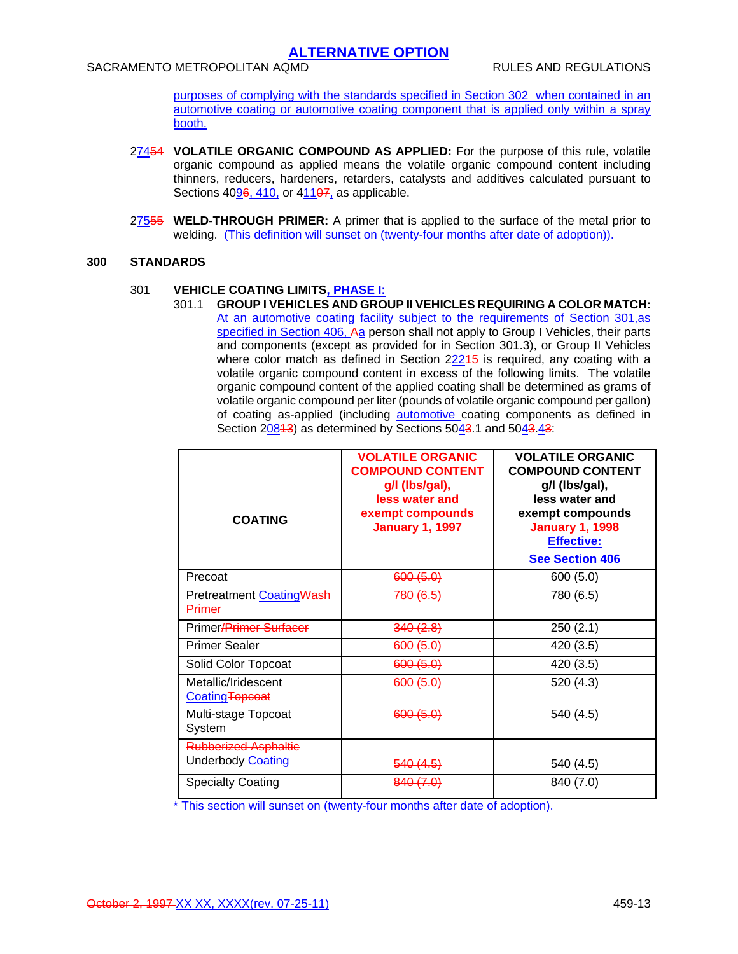purposes of complying with the standards specified in Section 302 when contained in an automotive coating or automotive coating component that is applied only within a spray booth.

- 27454 **VOLATILE ORGANIC COMPOUND AS APPLIED:** For the purpose of this rule, volatile organic compound as applied means the volatile organic compound content including thinners, reducers, hardeners, retarders, catalysts and additives calculated pursuant to Sections 4096, 410, or 41107, as applicable.
- 27555 **WELD-THROUGH PRIMER:** A primer that is applied to the surface of the metal prior to welding. (This definition will sunset on (twenty-four months after date of adoption)).

#### **300 STANDARDS**

#### 301 **VEHICLE COATING LIMITS, PHASE I:**

301.1 **GROUP I VEHICLES AND GROUP II VEHICLES REQUIRING A COLOR MATCH:** At an automotive coating facility subject to the requirements of Section 301,as specified in Section 406, Aa person shall not apply to Group I Vehicles, their parts and components (except as provided for in Section 301.3), or Group II Vehicles where color match as defined in Section 22245 is required, any coating with a volatile organic compound content in excess of the following limits. The volatile organic compound content of the applied coating shall be determined as grams of volatile organic compound per liter (pounds of volatile organic compound per gallon) of coating as-applied (including **automotive** coating components as defined in Section 20843) as determined by Sections 5043.1 and 5043.43:

| <b>COATING</b>                                          | <b>VOLATILE ORGANIC</b><br><b>COMPOUND CONTENT</b><br>g/l (lbs/gal),<br>less water and<br>exempt compounds<br><b>January 1, 1997</b> | <b>VOLATILE ORGANIC</b><br><b>COMPOUND CONTENT</b><br>g/l (lbs/gal),<br>less water and<br>exempt compounds<br><b>January 1, 1998</b><br><b>Effective:</b><br><b>See Section 406</b> |
|---------------------------------------------------------|--------------------------------------------------------------------------------------------------------------------------------------|-------------------------------------------------------------------------------------------------------------------------------------------------------------------------------------|
| Precoat                                                 | 600(5.0)                                                                                                                             | 600(5.0)                                                                                                                                                                            |
| Pretreatment CoatingWash<br>Primer                      | 780 (6.5)                                                                                                                            | 780 (6.5)                                                                                                                                                                           |
| Primer <del>/Primer Surfacer</del>                      | 340(2.8)                                                                                                                             | 250(2.1)                                                                                                                                                                            |
| <b>Primer Sealer</b>                                    | 600(5.0)                                                                                                                             | 420 (3.5)                                                                                                                                                                           |
| Solid Color Topcoat                                     | 600(5.0)                                                                                                                             | 420 (3.5)                                                                                                                                                                           |
| Metallic/Iridescent<br>CoatingTopcoat                   | 600(5.0)                                                                                                                             | 520 (4.3)                                                                                                                                                                           |
| Multi-stage Topcoat<br>System                           | 600(5.0)                                                                                                                             | 540 (4.5)                                                                                                                                                                           |
| <b>Rubberized Asphaltic</b><br><b>Underbody Coating</b> | 540(4.5)                                                                                                                             | 540 (4.5)                                                                                                                                                                           |
| <b>Specialty Coating</b>                                | 840 (7.0)                                                                                                                            | 840 (7.0)                                                                                                                                                                           |

\* This section will sunset on (twenty-four months after date of adoption).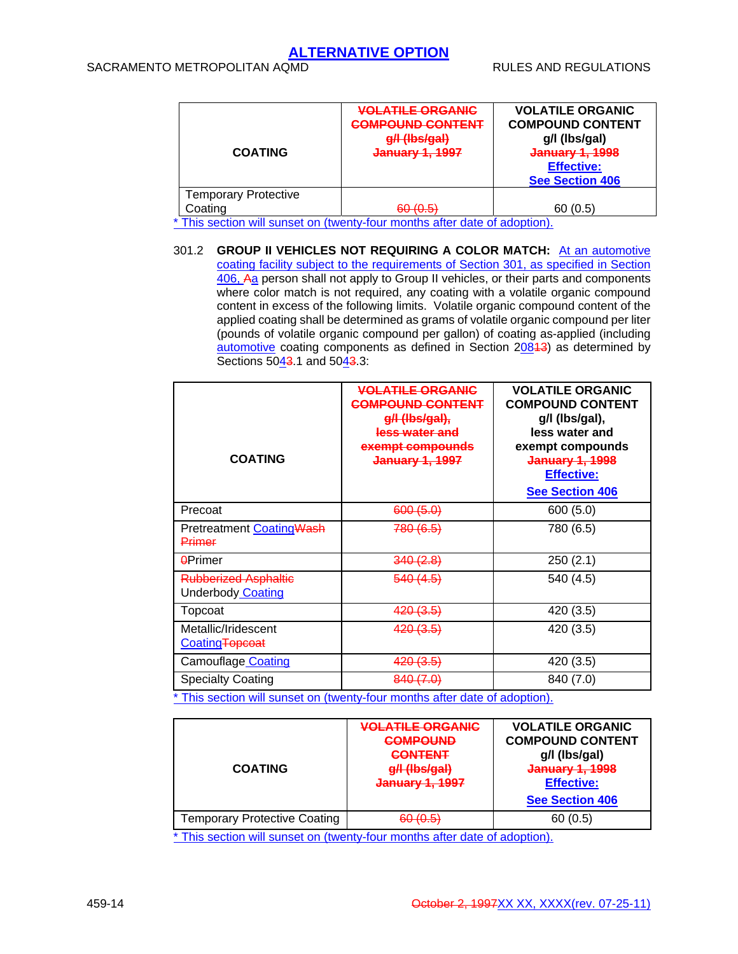| <b>COATING</b>              | <b>VOLATILE ORGANIC</b><br><b>COMPOUND CONTENT</b><br>g/l (lbs/gal)<br>January 1, 1997 | <b>VOLATILE ORGANIC</b><br><b>COMPOUND CONTENT</b><br>g/l (lbs/gal)<br>January 1, 1998<br><b>Effective:</b><br><b>See Section 406</b> |
|-----------------------------|----------------------------------------------------------------------------------------|---------------------------------------------------------------------------------------------------------------------------------------|
| <b>Temporary Protective</b> |                                                                                        |                                                                                                                                       |
| Coating                     | (50/0)<br><del>uu 10.0</del>                                                           | 60(0.5)                                                                                                                               |

\* This section will sunset on (twenty-four months after date of adoption).

301.2 **GROUP II VEHICLES NOT REQUIRING A COLOR MATCH:** At an automotive coating facility subject to the requirements of Section 301, as specified in Section 406, Aa person shall not apply to Group II vehicles, or their parts and components where color match is not required, any coating with a volatile organic compound content in excess of the following limits. Volatile organic compound content of the applied coating shall be determined as grams of volatile organic compound per liter (pounds of volatile organic compound per gallon) of coating as-applied (including automotive coating components as defined in Section 20813) as determined by Sections 5043.1 and 5043.3:

| <b>COATING</b>                                          | <b>VOLATILE ORGANIC</b><br><b>COMPOUND CONTENT</b><br>g/l (lbs/gal),<br>less water and<br>exempt compounds<br><b>January 1, 1997</b> | <b>VOLATILE ORGANIC</b><br><b>COMPOUND CONTENT</b><br>g/l (lbs/gal),<br>less water and<br>exempt compounds<br>January 1, 1998<br>Effective:<br><b>See Section 406</b> |
|---------------------------------------------------------|--------------------------------------------------------------------------------------------------------------------------------------|-----------------------------------------------------------------------------------------------------------------------------------------------------------------------|
| Precoat                                                 | 600 (5.0)                                                                                                                            | 600 (5.0)                                                                                                                                                             |
| Pretreatment Coating Wash<br>Primer                     | <del>780 (6.5)</del>                                                                                                                 | 780 (6.5)                                                                                                                                                             |
| <b>APrimer</b>                                          | 340(2.8)                                                                                                                             | 250(2.1)                                                                                                                                                              |
| <b>Rubberized Asphaltic</b><br><b>Underbody Coating</b> | <del>540 (4.5)</del>                                                                                                                 | 540 (4.5)                                                                                                                                                             |
| Topcoat                                                 | 4 <del>20 (3.5)</del>                                                                                                                | 420 (3.5)                                                                                                                                                             |
| Metallic/Iridescent<br>Coating Topcoat                  | 4 <del>20 (3.5)</del>                                                                                                                | 420 (3.5)                                                                                                                                                             |
| Camouflage Coating                                      | 4 <del>20 (3.5)</del>                                                                                                                | 420 (3.5)                                                                                                                                                             |
| <b>Specialty Coating</b>                                | <del>840 (7.0)</del>                                                                                                                 | 840 (7.0)                                                                                                                                                             |

\* This section will sunset on (twenty-four months after date of adoption).

| <b>COATING</b>                      | <b>VOLATILE ORGANIC</b><br><b>COMPOUND</b><br><b>CONTENT</b><br>g/l (lbs/gal)<br><b>January 1, 1997</b> | <b>VOLATILE ORGANIC</b><br><b>COMPOUND CONTENT</b><br>g/l (lbs/gal)<br>January 1, 1998<br><b>Effective:</b><br><b>See Section 406</b> |
|-------------------------------------|---------------------------------------------------------------------------------------------------------|---------------------------------------------------------------------------------------------------------------------------------------|
| <b>Temporary Protective Coating</b> | RN 10 E)                                                                                                | 60 (0.5)                                                                                                                              |

\* This section will sunset on (twenty-four months after date of adoption).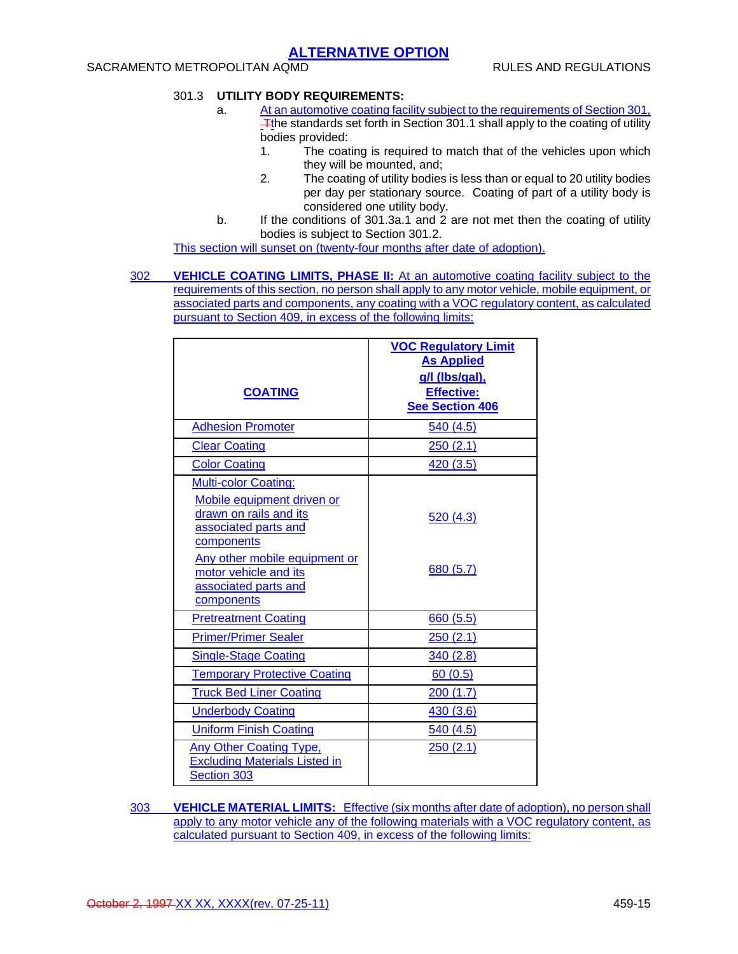## SACRAMENTO METROPOLITAN AQMD RULES AND REGULATIONS

## 301.3 **UTILITY BODY REQUIREMENTS:**

- a. At an automotive coating facility subject to the requirements of Section 301, The standards set forth in Section 301.1 shall apply to the coating of utility bodies provided:
	- 1. The coating is required to match that of the vehicles upon which they will be mounted, and;
	- 2. The coating of utility bodies is less than or equal to 20 utility bodies per day per stationary source. Coating of part of a utility body is considered one utility body.
- b. If the conditions of 301.3a.1 and 2 are not met then the coating of utility bodies is subject to Section 301.2.

This section will sunset on (twenty-four months after date of adoption).

302 **VEHICLE COATING LIMITS, PHASE II:** At an automotive coating facility subject to the requirements of this section, no person shall apply to any motor vehicle, mobile equipment, or associated parts and components, any coating with a VOC regulatory content, as calculated pursuant to Section 409, in excess of the following limits:

| <b>COATING</b>                                                                                                                                                                                                            | <b>VOC Regulatory Limit</b><br><b>As Applied</b><br>g/l (lbs/gal),<br><b>Effective:</b><br>See Section 406 |
|---------------------------------------------------------------------------------------------------------------------------------------------------------------------------------------------------------------------------|------------------------------------------------------------------------------------------------------------|
| <b>Adhesion Promoter</b>                                                                                                                                                                                                  | 540(4.5)                                                                                                   |
| <b>Clear Coating</b>                                                                                                                                                                                                      | 250(2.1)                                                                                                   |
| <b>Color Coating</b>                                                                                                                                                                                                      | 420 (3.5)                                                                                                  |
| <b>Multi-color Coating:</b><br>Mobile equipment driven or<br>drawn on rails and its<br>associated parts and<br>components<br>Any other mobile equipment or<br>motor vehicle and its<br>associated parts and<br>components | 520 (4.3)<br>680 (5.7)                                                                                     |
| <b>Pretreatment Coating</b>                                                                                                                                                                                               | 660(5.5)                                                                                                   |
| <b>Primer/Primer Sealer</b>                                                                                                                                                                                               | 250(2.1)                                                                                                   |
| <b>Single-Stage Coating</b>                                                                                                                                                                                               | 340(2.8)                                                                                                   |
| <b>Temporary Protective Coating</b>                                                                                                                                                                                       | 60(0.5)                                                                                                    |
| <b>Truck Bed Liner Coating</b>                                                                                                                                                                                            | 200(1.7)                                                                                                   |
| <b>Underbody Coating</b>                                                                                                                                                                                                  | 430 (3.6)                                                                                                  |
| <b>Uniform Finish Coating</b>                                                                                                                                                                                             | 540 (4.5)                                                                                                  |
| Any Other Coating Type,<br><b>Excluding Materials Listed in</b><br><b>Section 303</b>                                                                                                                                     | 250(2.1)                                                                                                   |

303 **VEHICLE MATERIAL LIMITS:** Effective (six months after date of adoption), no person shall apply to any motor vehicle any of the following materials with a VOC regulatory content, as calculated pursuant to Section 409, in excess of the following limits: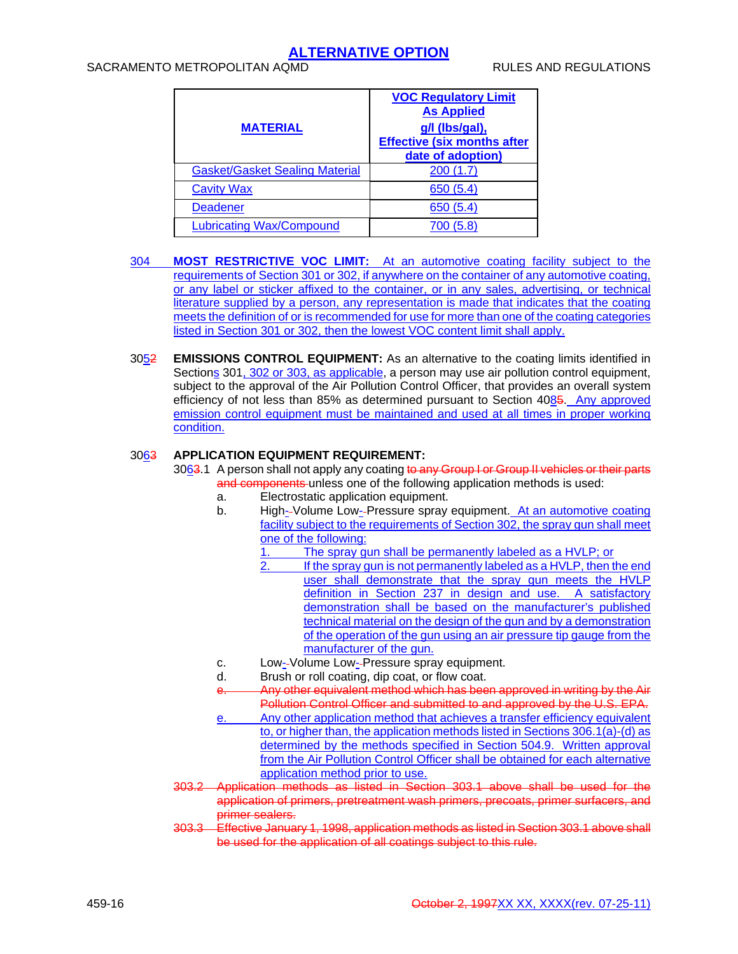## SACRAMENTO METROPOLITAN AQMD **RULES AND REGULATIONS**

|                                       | <b>VOC Regulatory Limit</b>        |  |
|---------------------------------------|------------------------------------|--|
|                                       | <b>As Applied</b>                  |  |
| <b>MATERIAL</b>                       | g/l (lbs/gal),                     |  |
|                                       | <b>Effective (six months after</b> |  |
|                                       | date of adoption)                  |  |
| <b>Gasket/Gasket Sealing Material</b> | 200(1.7)                           |  |
| <b>Cavity Wax</b>                     | 650 (5.4)                          |  |
| <b>Deadener</b>                       | 650 (5.4)                          |  |
| <b>Lubricating Wax/Compound</b>       | 700 (5.8)                          |  |

- 304 **MOST RESTRICTIVE VOC LIMIT:** At an automotive coating facility subject to the requirements of Section 301 or 302, if anywhere on the container of any automotive coating, or any label or sticker affixed to the container, or in any sales, advertising, or technical literature supplied by a person, any representation is made that indicates that the coating meets the definition of or is recommended for use for more than one of the coating categories listed in Section 301 or 302, then the lowest VOC content limit shall apply.
- 3052 **EMISSIONS CONTROL EQUIPMENT:** As an alternative to the coating limits identified in Sections 301, 302 or 303, as applicable, a person may use air pollution control equipment, subject to the approval of the Air Pollution Control Officer, that provides an overall system efficiency of not less than 85% as determined pursuant to Section 4085. Any approved emission control equipment must be maintained and used at all times in proper working condition.

### 3063 **APPLICATION EQUIPMENT REQUIREMENT:**

3063.1 A person shall not apply any coating to any Group I or Group II vehicles or their parts and components unless one of the following application methods is used:

- a. Electrostatic application equipment.
- b. High--Volume Low--Pressure spray equipment. At an automotive coating facility subject to the requirements of Section 302, the spray gun shall meet one of the following:
	- $\frac{1}{1}$ . The spray gun shall be permanently labeled as a HVLP; or  $\frac{1}{2}$ . If the spray gun is not permanently labeled as a HVLP, then the
		- If the spray gun is not permanently labeled as a HVLP, then the end user shall demonstrate that the spray gun meets the HVLP definition in Section 237 in design and use. A satisfactory demonstration shall be based on the manufacturer's published technical material on the design of the gun and by a demonstration of the operation of the gun using an air pressure tip gauge from the manufacturer of the gun.
- c. Low--Volume Low--Pressure spray equipment.
- d. Brush or roll coating, dip coat, or flow coat.
- Any other equivalent method which has been approved in writing by the Air Pollution Control Officer and submitted to and approved by the U.S. EPA.
- e. Any other application method that achieves a transfer efficiency equivalent to, or higher than, the application methods listed in Sections 306.1(a)-(d) as determined by the methods specified in Section 504.9. Written approval from the Air Pollution Control Officer shall be obtained for each alternative application method prior to use.
- 303.2 Application methods as listed in Section 303.1 above shall be used for the application of primers, pretreatment wash primers, precoats, primer surfacers, and primer sealers.
- 303.3 Effective January 1, 1998, application methods as listed in Section 303.1 above shall be used for the application of all coatings subject to this rule.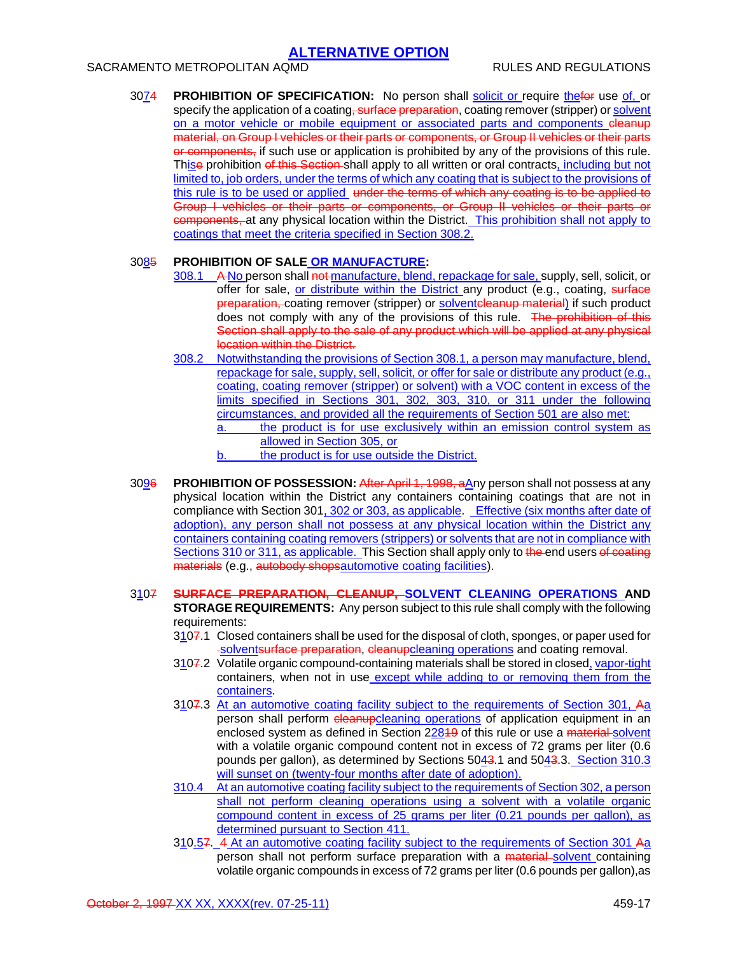## SACRAMENTO METROPOLITAN AQMD **RULES AND REGULATIONS**

3074 **PROHIBITION OF SPECIFICATION:** No person shall solicit or require thefor use of, or specify the application of a coating, surface preparation, coating remover (stripper) or solvent on a motor vehicle or mobile equipment or associated parts and components eleanup material, on Group I vehicles or their parts or components, or Group II vehicles or their parts or components, if such use or application is prohibited by any of the provisions of this rule. Thise prohibition of this Section shall apply to all written or oral contracts, including but not limited to, job orders, under the terms of which any coating that is subject to the provisions of this rule is to be used or applied under the terms of which any coating is to be applied to Group I vehicles or their parts or components, or Group II vehicles or their parts or components, at any physical location within the District. This prohibition shall not apply to coatings that meet the criteria specified in Section 308.2.

### 3085 **PROHIBITION OF SALE OR MANUFACTURE:**

- 308.1 A No person shall not manufacture, blend, repackage for sale, supply, sell, solicit, or offer for sale, or distribute within the District any product (e.g., coating, surface preparation, coating remover (stripper) or solventcleanup material) if such product does not comply with any of the provisions of this rule. The prohibition of this Section shall apply to the sale of any product which will be applied at any physical location within the District.
- 308.2 Notwithstanding the provisions of Section 308.1, a person may manufacture, blend, repackage for sale, supply, sell, solicit, or offer for sale or distribute any product (e.g., coating, coating remover (stripper) or solvent) with a VOC content in excess of the limits specified in Sections 301, 302, 303, 310, or 311 under the following circumstances, and provided all the requirements of Section 501 are also met: a. the product is for use exclusively within an emission control system as
	- allowed in Section 305, or
	- b. the product is for use outside the District.
- 3096 **PROHIBITION OF POSSESSION:** After April 1, 1998, aAny person shall not possess at any physical location within the District any containers containing coatings that are not in compliance with Section 301, 302 or 303, as applicable. Effective (six months after date of adoption), any person shall not possess at any physical location within the District any containers containing coating removers (strippers) or solvents that are not in compliance with Sections 310 or 311, as applicable. This Section shall apply only to the end users of coating materials (e.g., autobody shopsautomotive coating facilities).
- 3107 **SURFACE PREPARATION, CLEANUP, SOLVENT CLEANING OPERATIONS AND STORAGE REQUIREMENTS:** Any person subject to this rule shall comply with the following requirements:
	- 3107.1 Closed containers shall be used for the disposal of cloth, sponges, or paper used for solventsurface preparation, cleanupcleaning operations and coating removal.
	- 3107.2 Volatile organic compound-containing materials shall be stored in closed, vapor-tight containers, when not in use except while adding to or removing them from the containers.
	- 3107.3 At an automotive coating facility subject to the requirements of Section 301, Aa person shall perform cleanupcleaning operations of application equipment in an enclosed system as defined in Section 22849 of this rule or use a material solvent with a volatile organic compound content not in excess of 72 grams per liter (0.6 pounds per gallon), as determined by Sections 5043.1 and 5043.3. Section 310.3 will sunset on (twenty-four months after date of adoption).
	- 310.4 At an automotive coating facility subject to the requirements of Section 302, a person shall not perform cleaning operations using a solvent with a volatile organic compound content in excess of 25 grams per liter (0.21 pounds per gallon), as determined pursuant to Section 411.
	- 310.57. 4 At an automotive coating facility subject to the requirements of Section 301 Aa person shall not perform surface preparation with a material solvent containing volatile organic compounds in excess of 72 grams per liter (0.6 pounds per gallon),as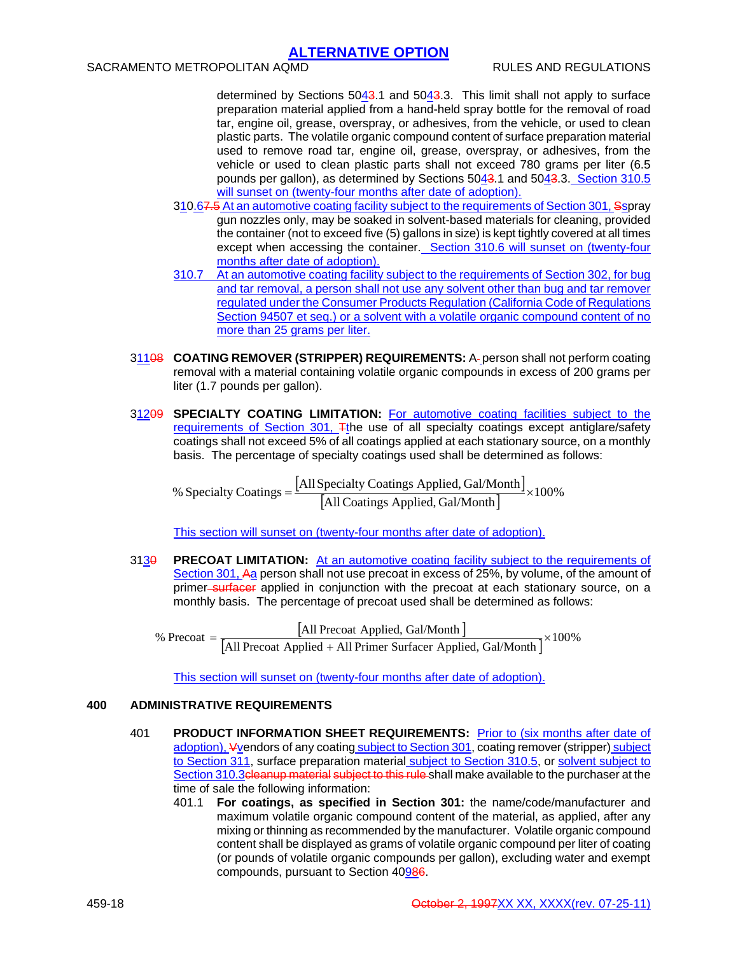determined by Sections 5043.1 and 5043.3. This limit shall not apply to surface preparation material applied from a hand-held spray bottle for the removal of road tar, engine oil, grease, overspray, or adhesives, from the vehicle, or used to clean plastic parts. The volatile organic compound content of surface preparation material used to remove road tar, engine oil, grease, overspray, or adhesives, from the vehicle or used to clean plastic parts shall not exceed 780 grams per liter (6.5 pounds per gallon), as determined by Sections 5043.1 and 5043.3. Section 310.5 will sunset on (twenty-four months after date of adoption).

- 310.67.5 At an automotive coating facility subject to the requirements of Section 301, Sspray gun nozzles only, may be soaked in solvent-based materials for cleaning, provided the container (not to exceed five (5) gallons in size) is kept tightly covered at all times except when accessing the container. Section 310.6 will sunset on (twenty-four months after date of adoption).
- 310.7 At an automotive coating facility subject to the requirements of Section 302, for bug and tar removal, a person shall not use any solvent other than bug and tar remover regulated under the Consumer Products Regulation (California Code of Regulations Section 94507 et seq.) or a solvent with a volatile organic compound content of no more than 25 grams per liter.
- 31108 **COATING REMOVER (STRIPPER) REQUIREMENTS:** A-person shall not perform coating removal with a material containing volatile organic compounds in excess of 200 grams per liter (1.7 pounds per gallon).
- 31209 **SPECIALTY COATING LIMITATION:** For automotive coating facilities subject to the requirements of Section 301,  $\pm$ the use of all specialty coatings except antiglare/safety coatings shall not exceed 5% of all coatings applied at each stationary source, on a monthly basis. The percentage of specialty coatings used shall be determined as follows:

[All Specialty Coatings Applied, Gal/Month]<br>[All Coatings Applied, Gal/Month] % Specialty Coatings  $=$   $\frac{[All Specifically] Costings$  Applied, Gal/Month  $\frac{1}{x}$ 

This section will sunset on (twenty-four months after date of adoption).

3130 **PRECOAT LIMITATION:** At an automotive coating facility subject to the requirements of Section 301, Aa person shall not use precoat in excess of 25%, by volume, of the amount of primer surfacer applied in conjunction with the precoat at each stationary source, on a monthly basis. The percentage of precoat used shall be determined as follows:

%  $\text{Precoat} = \frac{[All \text{ Precoat Applied, Gal/Month}]}{[All \text{ Precoat Applied + All \text{ Prime Surface Applied, Gal/Month}}]} \times 100\%$ 

This section will sunset on (twenty-four months after date of adoption).

## **400 ADMINISTRATIVE REQUIREMENTS**

- 401 **PRODUCT INFORMATION SHEET REQUIREMENTS:** Prior to (six months after date of adoption), Vvendors of any coating subject to Section 301, coating remover (stripper) subject to Section 311, surface preparation material subject to Section 310.5, or solvent subject to Section 310.3 cleanup material subject to this rule shall make available to the purchaser at the time of sale the following information:
	- 401.1 **For coatings, as specified in Section 301:** the name/code/manufacturer and maximum volatile organic compound content of the material, as applied, after any mixing or thinning as recommended by the manufacturer. Volatile organic compound content shall be displayed as grams of volatile organic compound per liter of coating (or pounds of volatile organic compounds per gallon), excluding water and exempt compounds, pursuant to Section 40986.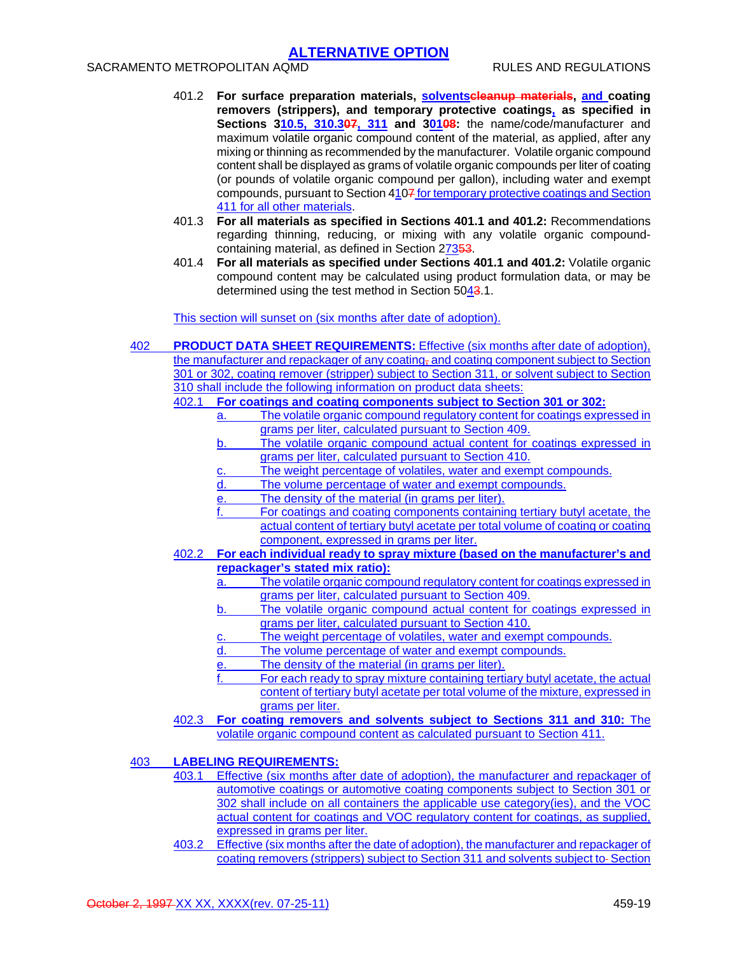## SACRAMENTO METROPOLITAN AQMD RULES AND REGULATIONS

- 401.2 **For surface preparation materials, solventscleanup materials, and coating removers (strippers), and temporary protective coatings, as specified in Sections 310.5, 310.307, 311 and 30108:** the name/code/manufacturer and maximum volatile organic compound content of the material, as applied, after any mixing or thinning as recommended by the manufacturer. Volatile organic compound content shall be displayed as grams of volatile organic compounds per liter of coating (or pounds of volatile organic compound per gallon), including water and exempt compounds, pursuant to Section 4107 for temporary protective coatings and Section 411 for all other materials.
- 401.3 **For all materials as specified in Sections 401.1 and 401.2:** Recommendations regarding thinning, reducing, or mixing with any volatile organic compoundcontaining material, as defined in Section 27353.
- 401.4 **For all materials as specified under Sections 401.1 and 401.2:** Volatile organic compound content may be calculated using product formulation data, or may be determined using the test method in Section 5043.1.

This section will sunset on (six months after date of adoption).

| 402                                                                 |                                                                    | <b>PRODUCT DATA SHEET REQUIREMENTS:</b> Effective (six months after date of adoption),                                     |
|---------------------------------------------------------------------|--------------------------------------------------------------------|----------------------------------------------------------------------------------------------------------------------------|
|                                                                     |                                                                    | the manufacturer and repackager of any coating, and coating component subject to Section                                   |
|                                                                     |                                                                    | 301 or 302, coating remover (stripper) subject to Section 311, or solvent subject to Section                               |
| 310 shall include the following information on product data sheets: |                                                                    |                                                                                                                            |
|                                                                     | For coatings and coating components subject to Section 301 or 302: |                                                                                                                            |
|                                                                     |                                                                    | The volatile organic compound regulatory content for coatings expressed in<br>a.                                           |
|                                                                     |                                                                    | grams per liter, calculated pursuant to Section 409.                                                                       |
|                                                                     |                                                                    | The volatile organic compound actual content for coatings expressed in<br>b.                                               |
|                                                                     |                                                                    | grams per liter, calculated pursuant to Section 410.                                                                       |
|                                                                     |                                                                    | The weight percentage of volatiles, water and exempt compounds.<br><u>c.</u>                                               |
|                                                                     |                                                                    | d.<br>The volume percentage of water and exempt compounds.                                                                 |
|                                                                     |                                                                    | The density of the material (in grams per liter).<br>е.                                                                    |
|                                                                     |                                                                    | For coatings and coating components containing tertiary butyl acetate, the                                                 |
|                                                                     |                                                                    | actual content of tertiary butyl acetate per total volume of coating or coating                                            |
|                                                                     |                                                                    | component, expressed in grams per liter.                                                                                   |
|                                                                     | 402.2                                                              | For each individual ready to spray mixture (based on the manufacturer's and                                                |
|                                                                     |                                                                    | repackager's stated mix ratio):                                                                                            |
|                                                                     |                                                                    | The volatile organic compound regulatory content for coatings expressed in<br>a.                                           |
|                                                                     |                                                                    | grams per liter, calculated pursuant to Section 409.                                                                       |
|                                                                     |                                                                    | The volatile organic compound actual content for coatings expressed in<br>b.                                               |
|                                                                     |                                                                    | grams per liter, calculated pursuant to Section 410.                                                                       |
|                                                                     |                                                                    | The weight percentage of volatiles, water and exempt compounds.<br><u>c.</u>                                               |
|                                                                     |                                                                    | The volume percentage of water and exempt compounds.<br>d.                                                                 |
|                                                                     |                                                                    | The density of the material (in grams per liter).<br><u>e.</u>                                                             |
|                                                                     |                                                                    | For each ready to spray mixture containing tertiary butyl acetate, the actual                                              |
|                                                                     |                                                                    | content of tertiary butyl acetate per total volume of the mixture, expressed in                                            |
|                                                                     |                                                                    | grams per liter.                                                                                                           |
|                                                                     | 402.3                                                              | For coating removers and solvents subject to Sections 311 and 310: The                                                     |
|                                                                     |                                                                    | volatile organic compound content as calculated pursuant to Section 411.                                                   |
|                                                                     |                                                                    |                                                                                                                            |
| 403                                                                 |                                                                    | <b>LABELING REQUIREMENTS:</b><br>102.1 Effective (oiv months ofter data of odentian), the monufacturer and repositionar of |
|                                                                     |                                                                    |                                                                                                                            |

- 403.1 Effective (six months after date of adoption), the manufacturer and repackager of automotive coatings or automotive coating components subject to Section 301 or 302 shall include on all containers the applicable use category(ies), and the VOC actual content for coatings and VOC regulatory content for coatings, as supplied, expressed in grams per liter.
- 403.2 Effective (six months after the date of adoption), the manufacturer and repackager of coating removers (strippers) subject to Section 311 and solvents subject to Section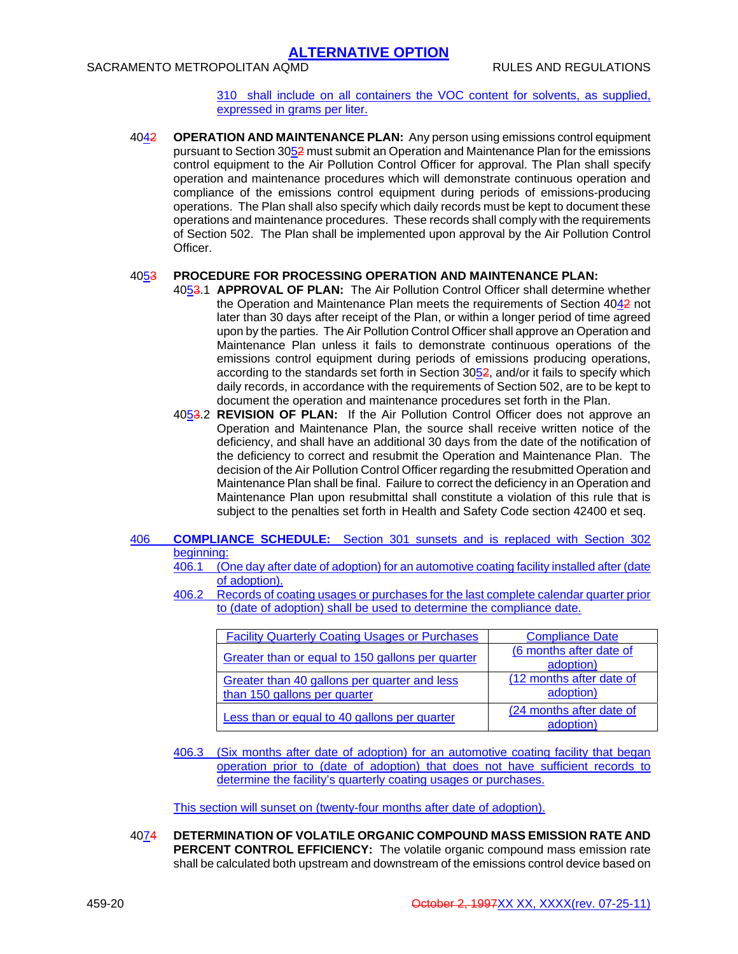### SACRAMENTO METROPOLITAN AQMD **RULES AND REGULATIONS**

310 shall include on all containers the VOC content for solvents, as supplied, expressed in grams per liter.

4042 **OPERATION AND MAINTENANCE PLAN:** Any person using emissions control equipment pursuant to Section 3052 must submit an Operation and Maintenance Plan for the emissions control equipment to the Air Pollution Control Officer for approval. The Plan shall specify operation and maintenance procedures which will demonstrate continuous operation and compliance of the emissions control equipment during periods of emissions-producing operations. The Plan shall also specify which daily records must be kept to document these operations and maintenance procedures. These records shall comply with the requirements of Section 502. The Plan shall be implemented upon approval by the Air Pollution Control Officer.

#### 4053 **PROCEDURE FOR PROCESSING OPERATION AND MAINTENANCE PLAN:**

- 4053.1 **APPROVAL OF PLAN:** The Air Pollution Control Officer shall determine whether the Operation and Maintenance Plan meets the requirements of Section 4042 not later than 30 days after receipt of the Plan, or within a longer period of time agreed upon by the parties. The Air Pollution Control Officer shall approve an Operation and Maintenance Plan unless it fails to demonstrate continuous operations of the emissions control equipment during periods of emissions producing operations, according to the standards set forth in Section 3052, and/or it fails to specify which daily records, in accordance with the requirements of Section 502, are to be kept to document the operation and maintenance procedures set forth in the Plan.
- 4053.2 **REVISION OF PLAN:** If the Air Pollution Control Officer does not approve an Operation and Maintenance Plan, the source shall receive written notice of the deficiency, and shall have an additional 30 days from the date of the notification of the deficiency to correct and resubmit the Operation and Maintenance Plan. The decision of the Air Pollution Control Officer regarding the resubmitted Operation and Maintenance Plan shall be final. Failure to correct the deficiency in an Operation and Maintenance Plan upon resubmittal shall constitute a violation of this rule that is subject to the penalties set forth in Health and Safety Code section 42400 et seq.

### 406 **COMPLIANCE SCHEDULE:** Section 301 sunsets and is replaced with Section 302 beginning:

- 406.1 (One day after date of adoption) for an automotive coating facility installed after (date of adoption).
- 406.2 Records of coating usages or purchases for the last complete calendar quarter prior to (date of adoption) shall be used to determine the compliance date.

| <b>Facility Quarterly Coating Usages or Purchases</b> | <b>Compliance Date</b>   |
|-------------------------------------------------------|--------------------------|
|                                                       | (6 months after date of  |
| Greater than or equal to 150 gallons per quarter      | adoption)                |
| Greater than 40 gallons per quarter and less          | (12 months after date of |
| than 150 gallons per quarter                          | adoption)                |
| Less than or equal to 40 gallons per quarter          | (24 months after date of |
|                                                       | adoption)                |

406.3 (Six months after date of adoption) for an automotive coating facility that began operation prior to (date of adoption) that does not have sufficient records to determine the facility's quarterly coating usages or purchases.

This section will sunset on (twenty-four months after date of adoption).

4074 **DETERMINATION OF VOLATILE ORGANIC COMPOUND MASS EMISSION RATE AND PERCENT CONTROL EFFICIENCY:** The volatile organic compound mass emission rate shall be calculated both upstream and downstream of the emissions control device based on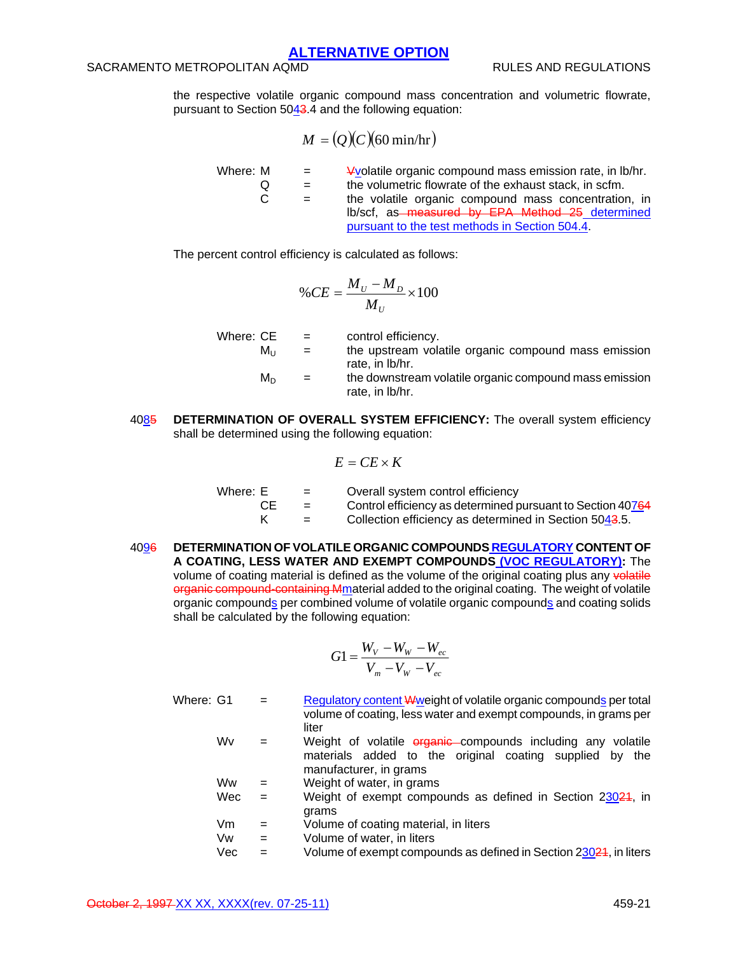## SACRAMENTO METROPOLITAN AQMD **RULES AND REGULATIONS**

the respective volatile organic compound mass concentration and volumetric flowrate, pursuant to Section 5043.4 and the following equation:

$$
M = (Q)(C)(60 \text{ min/hr})
$$

Where:  $M = \frac{4 \text{Vol}}{\text{Area}}$  wolatile organic compound mass emission rate, in lb/hr.  $Q =$  the volumetric flowrate of the exhaust stack, in scfm.  $C =$  the volatile organic compound mass concentration, in lb/scf, as measured by EPA Method 25 determined pursuant to the test methods in Section 504.4.

The percent control efficiency is calculated as follows:

$$
\%CE = \frac{M_U - M_D}{M_U} \times 100
$$

| Where: CE | $\mathbf{r} = \mathbf{r}$ | control efficiency.                                    |
|-----------|---------------------------|--------------------------------------------------------|
| Mu        | $=$                       | the upstream volatile organic compound mass emission   |
|           |                           | rate, in lb/hr.                                        |
| M∩        | $=$                       | the downstream volatile organic compound mass emission |
|           |                           | rate, in lb/hr.                                        |

4085 **DETERMINATION OF OVERALL SYSTEM EFFICIENCY:** The overall system efficiency shall be determined using the following equation:

$$
E = CE \times K
$$

| Where: E | $=$ | Overall system control efficiency                          |
|----------|-----|------------------------------------------------------------|
| CЕ       | $=$ | Control efficiency as determined pursuant to Section 40764 |
|          | $=$ | Collection efficiency as determined in Section 5043.5.     |

4096 **DETERMINATION OF VOLATILE ORGANIC COMPOUNDS REGULATORY CONTENT OF A COATING, LESS WATER AND EXEMPT COMPOUNDS (VOC REGULATORY):** The volume of coating material is defined as the volume of the original coating plus any volatile organic compound-containing Mmaterial added to the original coating. The weight of volatile organic compounds per combined volume of volatile organic compounds and coating solids shall be calculated by the following equation:

$$
G1 = \frac{W_V - W_W - W_{ec}}{V_m - V_W - V_{ec}}
$$

- Where:  $G1 =$  Regulatory content Wweight of volatile organic compounds per total volume of coating, less water and exempt compounds, in grams per liter
	- $Wv =$  Weight of volatile  $\frac{1}{2}$  compounds including any volatile materials added to the original coating supplied by the manufacturer, in grams
	- $WW =$  Weight of water, in grams
	- Wec = Weight of exempt compounds as defined in Section 23024, in grams
	- $Vm = Volume$  of coating material, in liters
	- $Vw = V$ olume of water, in liters
	- Vec  $=$  Volume of exempt compounds as defined in Section 23024, in liters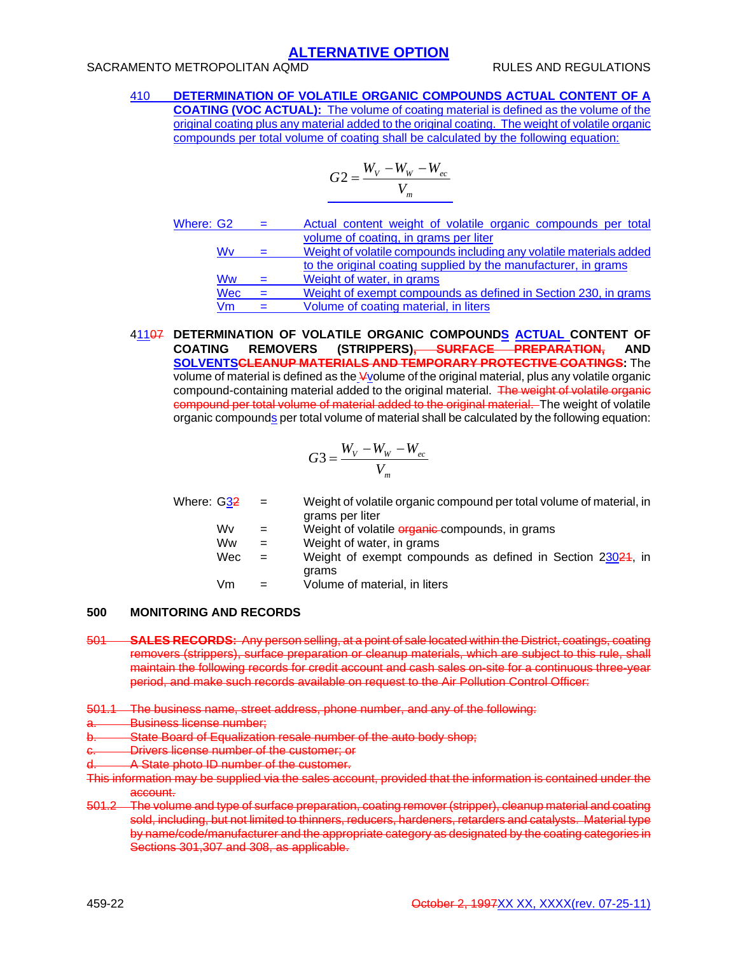## SACRAMENTO METROPOLITAN AQMD **RULES AND REGULATIONS**

410 **DETERMINATION OF VOLATILE ORGANIC COMPOUNDS ACTUAL CONTENT OF A COATING (VOC ACTUAL):** The volume of coating material is defined as the volume of the original coating plus any material added to the original coating. The weight of volatile organic compounds per total volume of coating shall be calculated by the following equation:

$$
G2 = \frac{W_V - W_W - W_{ec}}{V_m}
$$

| Where: G2 |            | $=$ | Actual content weight of volatile organic compounds per total       |
|-----------|------------|-----|---------------------------------------------------------------------|
|           |            |     | volume of coating, in grams per liter                               |
|           | Wv         | $=$ | Weight of volatile compounds including any volatile materials added |
|           |            |     | to the original coating supplied by the manufacturer, in grams      |
|           | Ww         | $=$ | Weight of water, in grams                                           |
|           | <b>Wec</b> |     | Weight of exempt compounds as defined in Section 230, in grams      |
|           | Vm         | $=$ | Volume of coating material, in liters                               |

### 41107 **DETERMINATION OF VOLATILE ORGANIC COMPOUNDS ACTUAL CONTENT OF COATING REMOVERS (STRIPPERS), SURFACE PREPARATION, AND SOLVENTSCLEANUP MATERIALS AND TEMPORARY PROTECTIVE COATINGS:** The volume of material is defined as the Vvolume of the original material, plus any volatile organic compound-containing material added to the original material. The weight of volatile organic compound per total volume of material added to the original material. The weight of volatile organic compounds per total volume of material shall be calculated by the following equation:

$$
G3 = \frac{W_V - W_W - W_{ec}}{V_m}
$$

| Where: G32 | $=$ | Weight of volatile organic compound per total volume of material, in<br>grams per liter |
|------------|-----|-----------------------------------------------------------------------------------------|
|            |     |                                                                                         |
| Wv         | $=$ | Weight of volatile <i>erganic</i> compounds, in grams                                   |
| Ww         | $=$ | Weight of water, in grams                                                               |
| Wec        | $=$ | Weight of exempt compounds as defined in Section 23024, in                              |
|            |     | grams                                                                                   |
| Vm         |     | Volume of material, in liters                                                           |
|            |     |                                                                                         |

### **500 MONITORING AND RECORDS**

- 501 **SALES RECORDS:** Any person selling, at a point of sale located within the District, coatings, coating removers (strippers), surface preparation or cleanup materials, which are subject to this rule, shall maintain the following records for credit account and cash sales on-site for a continuous three-year period, and make such records available on request to the Air Pollution Control Officer:
- 501.1 The business name, street address, phone number, and any of the following:
- **Business license number:**
- State Board of Equalization resale number of the auto body shop;
- **Drivers license number of the customer; or**
- A State photo ID number of the customer.
- This information may be supplied via the sales account, provided that the information is contained under the account.
- 501.2 The volume and type of surface preparation, coating remover (stripper), cleanup material and coating sold, including, but not limited to thinners, reducers, hardeners, retarders and catalysts. Material type by name/code/manufacturer and the appropriate category as designated by the coating categories in Sections 301,307 and 308, as applicable.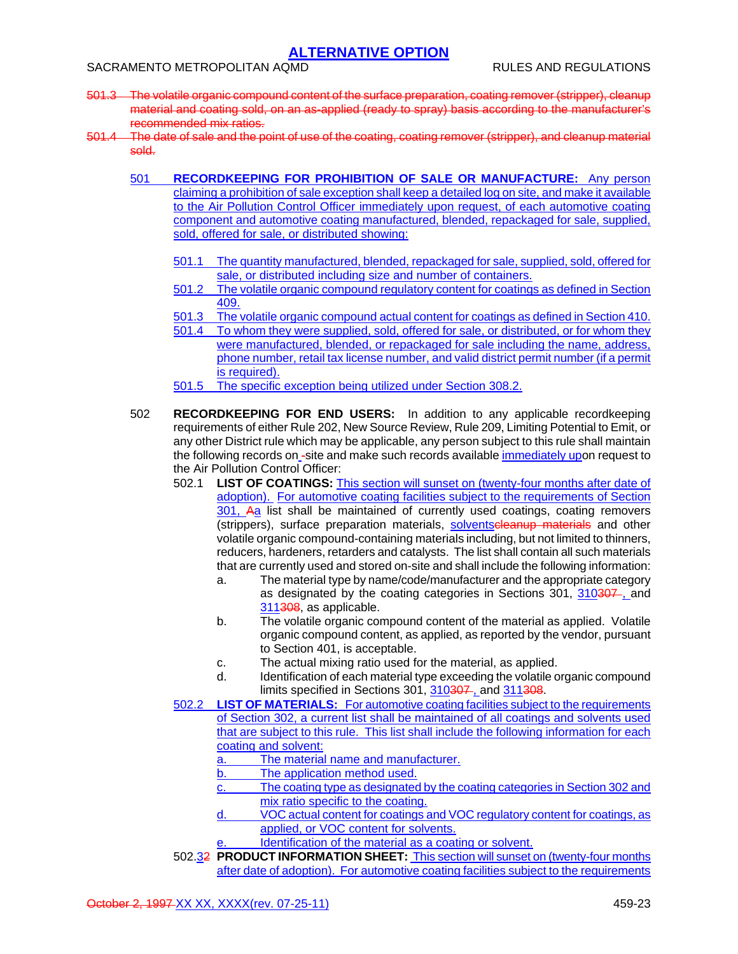- 501.3 The volatile organic compound content of the surface preparation, coating remover (stripper), cleanup material and coating sold, on an as-applied (ready to spray) basis according to the manufacturer's recommended mix ratios.
- 501.4 The date of sale and the point of use of the coating, coating remover (stripper), and cleanup material sold.
	- 501 **RECORDKEEPING FOR PROHIBITION OF SALE OR MANUFACTURE:** Any person claiming a prohibition of sale exception shall keep a detailed log on site, and make it available to the Air Pollution Control Officer immediately upon request, of each automotive coating component and automotive coating manufactured, blended, repackaged for sale, supplied, sold, offered for sale, or distributed showing:
		- 501.1 The quantity manufactured, blended, repackaged for sale, supplied, sold, offered for sale, or distributed including size and number of containers.
		- 501.2 The volatile organic compound regulatory content for coatings as defined in Section 409.
		- 501.3 The volatile organic compound actual content for coatings as defined in Section 410.
		- 501.4 To whom they were supplied, sold, offered for sale, or distributed, or for whom they were manufactured, blended, or repackaged for sale including the name, address, phone number, retail tax license number, and valid district permit number (if a permit is required).
		- 501.5 The specific exception being utilized under Section 308.2.
	- 502 **RECORDKEEPING FOR END USERS:** In addition to any applicable recordkeeping requirements of either Rule 202, New Source Review, Rule 209, Limiting Potential to Emit, or any other District rule which may be applicable, any person subject to this rule shall maintain the following records on -site and make such records available immediately upon request to the Air Pollution Control Officer:
		- 502.1 **LIST OF COATINGS:** This section will sunset on (twenty-four months after date of adoption). For automotive coating facilities subject to the requirements of Section 301, Aa list shall be maintained of currently used coatings, coating removers (strippers), surface preparation materials, solventseleanup materials and other volatile organic compound-containing materials including, but not limited to thinners, reducers, hardeners, retarders and catalysts. The list shall contain all such materials that are currently used and stored on-site and shall include the following information:
			- a. The material type by name/code/manufacturer and the appropriate category as designated by the coating categories in Sections 301, 310307, and 311308, as applicable.
			- b. The volatile organic compound content of the material as applied. Volatile organic compound content, as applied, as reported by the vendor, pursuant to Section 401, is acceptable.
			- c. The actual mixing ratio used for the material, as applied.
			- d. Identification of each material type exceeding the volatile organic compound limits specified in Sections 301, 310307, and 311308.
		- 502.2 **LIST OF MATERIALS:** For automotive coating facilities subject to the requirements of Section 302, a current list shall be maintained of all coatings and solvents used that are subject to this rule. This list shall include the following information for each coating and solvent:
			- a. The material name and manufacturer.
			- b. The application method used.
			- c. The coating type as designated by the coating categories in Section 302 and mix ratio specific to the coating.
			- d. VOC actual content for coatings and VOC regulatory content for coatings, as applied, or VOC content for solvents.
			- Identification of the material as a coating or solvent.
		- 502.32 **PRODUCT INFORMATION SHEET:** This section will sunset on (twenty-four months after date of adoption). For automotive coating facilities subject to the requirements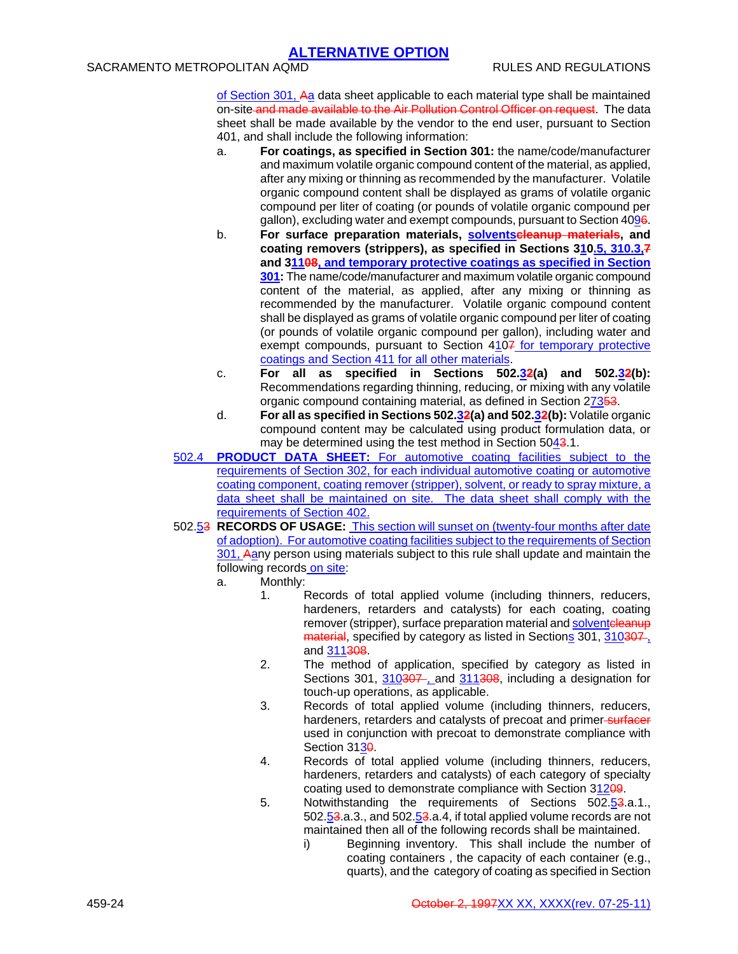## SACRAMENTO METROPOLITAN AQMD RULES AND REGULATIONS

of Section 301, Aa data sheet applicable to each material type shall be maintained on-site and made available to the Air Pollution Control Officer on request. The data sheet shall be made available by the vendor to the end user, pursuant to Section 401, and shall include the following information:

- a. **For coatings, as specified in Section 301:** the name/code/manufacturer and maximum volatile organic compound content of the material, as applied, after any mixing or thinning as recommended by the manufacturer. Volatile organic compound content shall be displayed as grams of volatile organic compound per liter of coating (or pounds of volatile organic compound per gallon), excluding water and exempt compounds, pursuant to Section 4096.
- b. **For surface preparation materials, solventscleanup materials, and coating removers (strippers), as specified in Sections 310.5, 310.3,7 and 31108, and temporary protective coatings as specified in Section 301:** The name/code/manufacturer and maximum volatile organic compound content of the material, as applied, after any mixing or thinning as recommended by the manufacturer. Volatile organic compound content shall be displayed as grams of volatile organic compound per liter of coating (or pounds of volatile organic compound per gallon), including water and exempt compounds, pursuant to Section 4107 for temporary protective coatings and Section 411 for all other materials.
- c. **For all as specified in Sections 502.32(a) and 502.32(b):** Recommendations regarding thinning, reducing, or mixing with any volatile organic compound containing material, as defined in Section 27353.
- d. **For all as specified in Sections 502.32(a) and 502.32(b):** Volatile organic compound content may be calculated using product formulation data, or may be determined using the test method in Section 5043.1.
- 502.4 **PRODUCT DATA SHEET:** For automotive coating facilities subject to the requirements of Section 302, for each individual automotive coating or automotive coating component, coating remover (stripper), solvent, or ready to spray mixture, a data sheet shall be maintained on site. The data sheet shall comply with the requirements of Section 402.
- 502.53 **RECORDS OF USAGE:** This section will sunset on (twenty-four months after date of adoption). For automotive coating facilities subject to the requirements of Section 301, Aany person using materials subject to this rule shall update and maintain the following records on site:
	- a. Monthly:
		- 1. Records of total applied volume (including thinners, reducers, hardeners, retarders and catalysts) for each coating, coating remover (stripper), surface preparation material and solventeleanup material, specified by category as listed in Sections 301, 310307, and 311308.
		- 2. The method of application, specified by category as listed in Sections 301, 310307, and 311308, including a designation for touch-up operations, as applicable.
		- 3. Records of total applied volume (including thinners, reducers, hardeners, retarders and catalysts of precoat and primer surfacer used in conjunction with precoat to demonstrate compliance with Section 3130
		- 4. Records of total applied volume (including thinners, reducers, hardeners, retarders and catalysts) of each category of specialty coating used to demonstrate compliance with Section 31209.
		- 5. Notwithstanding the requirements of Sections 502.53.a.1., 502.53.a.3., and 502.53.a.4, if total applied volume records are not maintained then all of the following records shall be maintained.
			- i) Beginning inventory. This shall include the number of coating containers , the capacity of each container (e.g., quarts), and the category of coating as specified in Section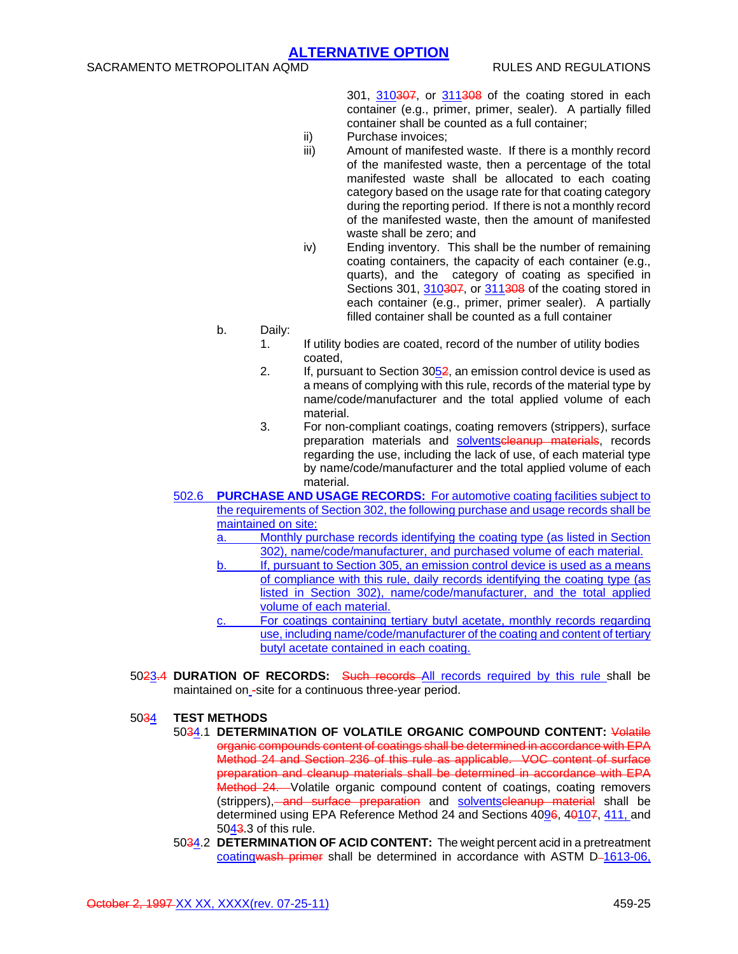301, 310307, or 311308 of the coating stored in each container (e.g., primer, primer, sealer). A partially filled container shall be counted as a full container;

- ii) Purchase invoices;
- iii) Amount of manifested waste. If there is a monthly record of the manifested waste, then a percentage of the total manifested waste shall be allocated to each coating category based on the usage rate for that coating category during the reporting period. If there is not a monthly record of the manifested waste, then the amount of manifested waste shall be zero; and
- iv) Ending inventory. This shall be the number of remaining coating containers, the capacity of each container (e.g., quarts), and the category of coating as specified in Sections 301, 310307, or 311308 of the coating stored in each container (e.g., primer, primer sealer). A partially filled container shall be counted as a full container
- b. Daily:
	- 1. If utility bodies are coated, record of the number of utility bodies coated,
	- 2. If, pursuant to Section  $3052$ , an emission control device is used as a means of complying with this rule, records of the material type by name/code/manufacturer and the total applied volume of each material.
	- 3. For non-compliant coatings, coating removers (strippers), surface preparation materials and solventscleanup materials, records regarding the use, including the lack of use, of each material type by name/code/manufacturer and the total applied volume of each material.
- 502.6 **PURCHASE AND USAGE RECORDS:** For automotive coating facilities subject to the requirements of Section 302, the following purchase and usage records shall be maintained on site:
	- a. Monthly purchase records identifying the coating type (as listed in Section 302), name/code/manufacturer, and purchased volume of each material.
	- b. If, pursuant to Section 305, an emission control device is used as a means of compliance with this rule, daily records identifying the coating type (as listed in Section 302), name/code/manufacturer, and the total applied volume of each material.
	- c. For coatings containing tertiary butyl acetate, monthly records regarding use, including name/code/manufacturer of the coating and content of tertiary butyl acetate contained in each coating.
- 5023.4 **DURATION OF RECORDS:** Such records All records required by this rule shall be maintained on -site for a continuous three-year period.

### 5034 **TEST METHODS**

- 5034.1 **DETERMINATION OF VOLATILE ORGANIC COMPOUND CONTENT:** Volatile organic compounds content of coatings shall be determined in accordance with EPA Method 24 and Section 236 of this rule as applicable. VOC content of surface preparation and cleanup materials shall be determined in accordance with EPA Method 24. Volatile organic compound content of coatings, coating removers (strippers), and surface preparation and solventscleanup material shall be determined using EPA Reference Method 24 and Sections 4096, 40107, 411, and 5043.3 of this rule.
- 5034.2 **DETERMINATION OF ACID CONTENT:** The weight percent acid in a pretreatment coatingwash primer shall be determined in accordance with ASTM D-1613-06,